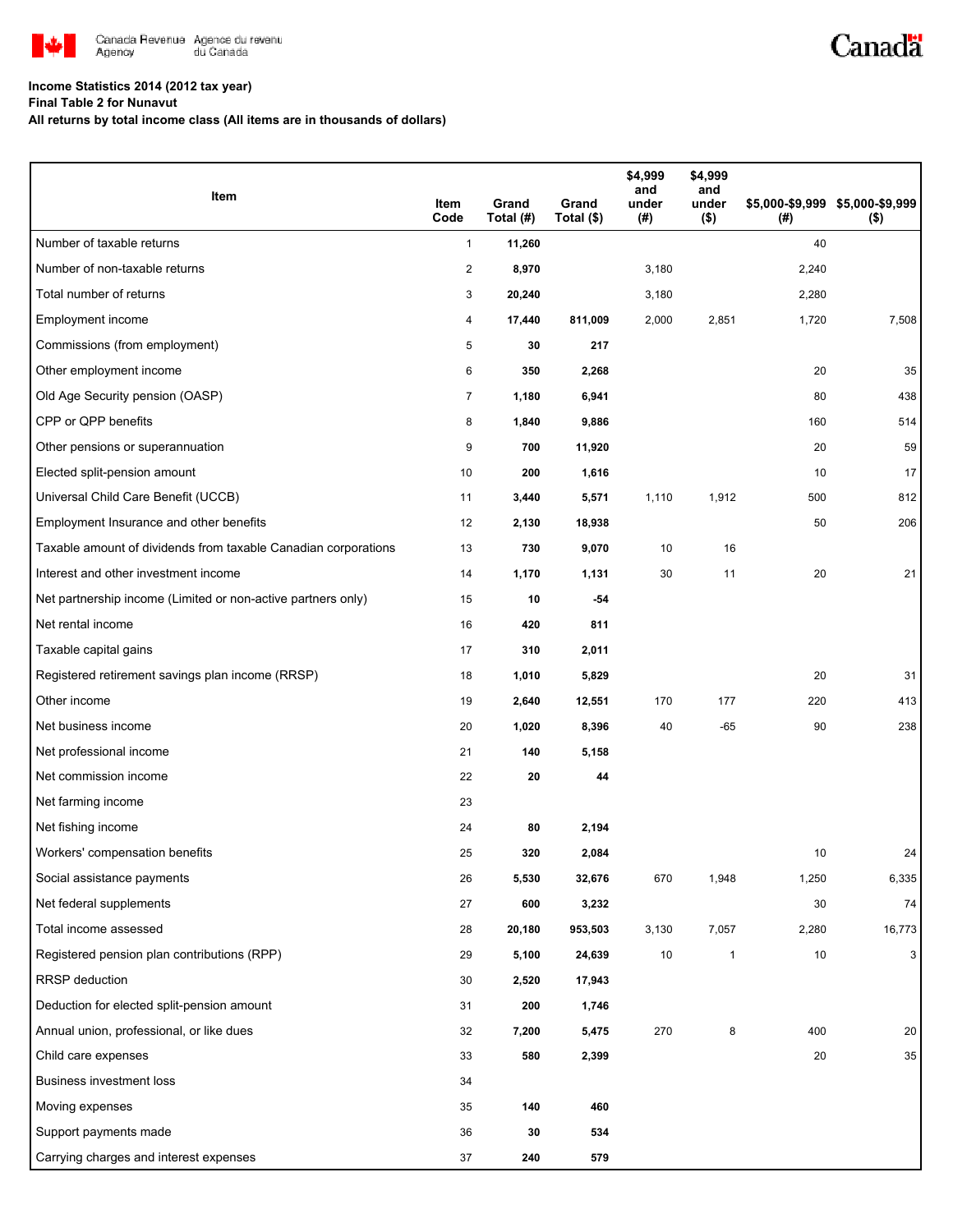

## **Income Statistics 2014 (2012 tax year)**

**Final Table 2 for Nunavut**

**All returns by total income class (All items are in thousands of dollars)**

| Item                                                           | Item<br>Code   | Grand<br>Total (#) | Grand<br>Total (\$) | \$4,999<br>and<br>under<br>(#) | \$4,999<br>and<br>under<br>$($ \$) | (#)   | \$5,000-\$9,999 \$5,000-\$9,999<br>$($ \$) |
|----------------------------------------------------------------|----------------|--------------------|---------------------|--------------------------------|------------------------------------|-------|--------------------------------------------|
| Number of taxable returns                                      | $\mathbf{1}$   | 11,260             |                     |                                |                                    | 40    |                                            |
| Number of non-taxable returns                                  | $\overline{c}$ | 8,970              |                     | 3,180                          |                                    | 2,240 |                                            |
| Total number of returns                                        | 3              | 20,240             |                     | 3,180                          |                                    | 2,280 |                                            |
| Employment income                                              | 4              | 17,440             | 811,009             | 2,000                          | 2,851                              | 1,720 | 7,508                                      |
| Commissions (from employment)                                  | 5              | 30                 | 217                 |                                |                                    |       |                                            |
| Other employment income                                        | 6              | 350                | 2,268               |                                |                                    | 20    | 35                                         |
| Old Age Security pension (OASP)                                | 7              | 1,180              | 6,941               |                                |                                    | 80    | 438                                        |
| CPP or QPP benefits                                            | 8              | 1,840              | 9,886               |                                |                                    | 160   | 514                                        |
| Other pensions or superannuation                               | 9              | 700                | 11,920              |                                |                                    | 20    | 59                                         |
| Elected split-pension amount                                   | 10             | 200                | 1,616               |                                |                                    | 10    | 17                                         |
| Universal Child Care Benefit (UCCB)                            | 11             | 3,440              | 5,571               | 1,110                          | 1,912                              | 500   | 812                                        |
| Employment Insurance and other benefits                        | 12             | 2,130              | 18,938              |                                |                                    | 50    | 206                                        |
| Taxable amount of dividends from taxable Canadian corporations | 13             | 730                | 9,070               | 10                             | 16                                 |       |                                            |
| Interest and other investment income                           | 14             | 1,170              | 1,131               | 30                             | 11                                 | 20    | 21                                         |
| Net partnership income (Limited or non-active partners only)   | 15             | 10                 | -54                 |                                |                                    |       |                                            |
| Net rental income                                              | 16             | 420                | 811                 |                                |                                    |       |                                            |
| Taxable capital gains                                          | 17             | 310                | 2,011               |                                |                                    |       |                                            |
| Registered retirement savings plan income (RRSP)               | 18             | 1,010              | 5,829               |                                |                                    | 20    | 31                                         |
| Other income                                                   | 19             | 2,640              | 12,551              | 170                            | 177                                | 220   | 413                                        |
| Net business income                                            | 20             | 1,020              | 8,396               | 40                             | $-65$                              | 90    | 238                                        |
| Net professional income                                        | 21             | 140                | 5,158               |                                |                                    |       |                                            |
| Net commission income                                          | 22             | 20                 | 44                  |                                |                                    |       |                                            |
| Net farming income                                             | 23             |                    |                     |                                |                                    |       |                                            |
| Net fishing income                                             | 24             | 80                 | 2,194               |                                |                                    |       |                                            |
| Workers' compensation benefits                                 | 25             | 320                | 2,084               |                                |                                    | 10    | 24                                         |
| Social assistance payments                                     | 26             | 5,530              | 32,676              | 670                            | 1,948                              | 1,250 | 6,335                                      |
| Net federal supplements                                        | 27             | 600                | 3,232               |                                |                                    | 30    | 74                                         |
| Total income assessed                                          | 28             | 20,180             | 953,503             | 3,130                          | 7,057                              | 2,280 | 16,773                                     |
| Registered pension plan contributions (RPP)                    | 29             | 5,100              | 24,639              | 10                             | $\mathbf{1}$                       | 10    | $\mathbf{3}$                               |
| <b>RRSP</b> deduction                                          | 30             | 2,520              | 17,943              |                                |                                    |       |                                            |
| Deduction for elected split-pension amount                     | 31             | 200                | 1,746               |                                |                                    |       |                                            |
| Annual union, professional, or like dues                       | 32             | 7,200              | 5,475               | 270                            | 8                                  | 400   | 20                                         |
| Child care expenses                                            | 33             | 580                | 2,399               |                                |                                    | 20    | 35                                         |
| <b>Business investment loss</b>                                | 34             |                    |                     |                                |                                    |       |                                            |
| Moving expenses                                                | 35             | 140                | 460                 |                                |                                    |       |                                            |
| Support payments made                                          | 36             | 30                 | 534                 |                                |                                    |       |                                            |
| Carrying charges and interest expenses                         | 37             | 240                | 579                 |                                |                                    |       |                                            |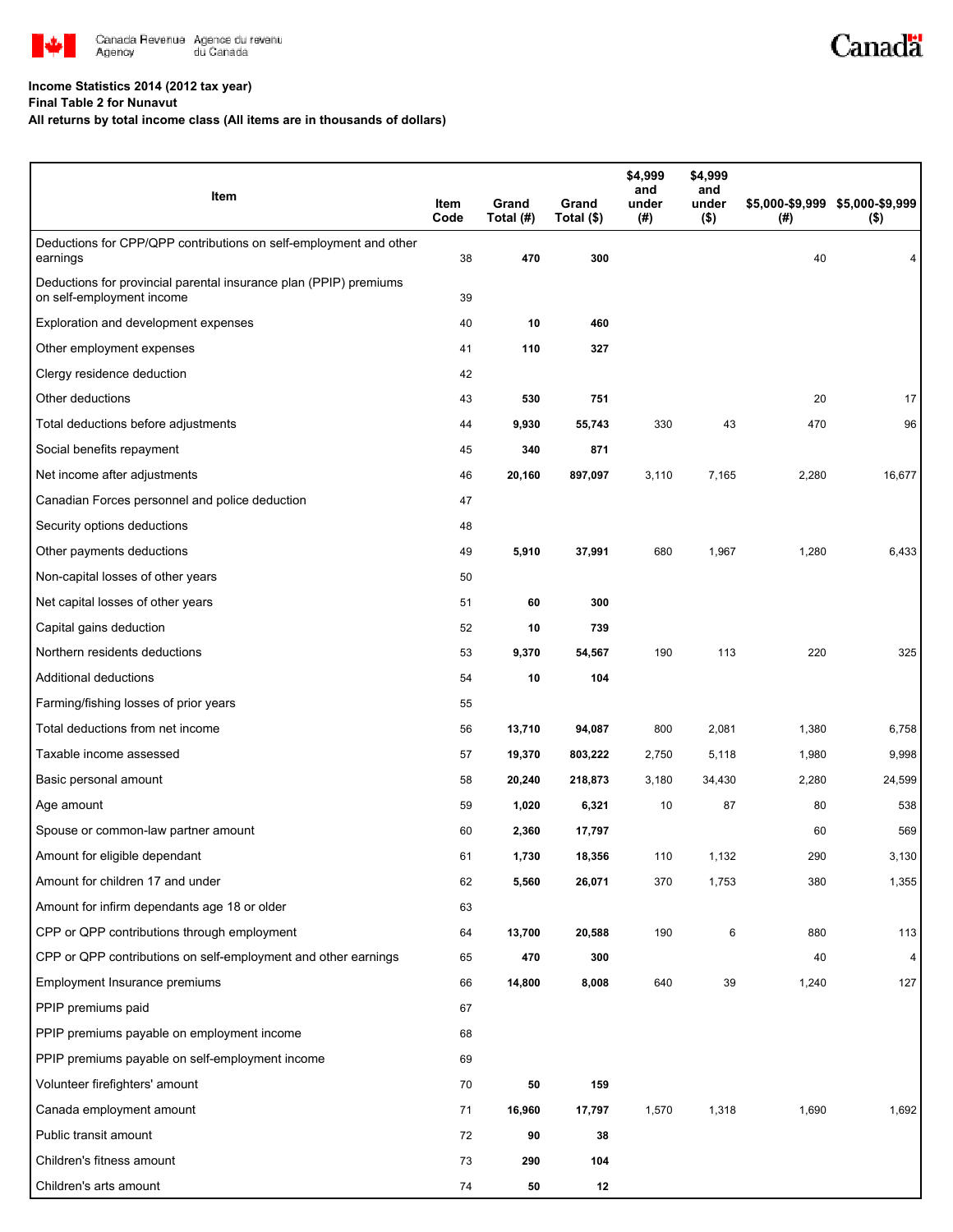

## **Income Statistics 2014 (2012 tax year)**

**Final Table 2 for Nunavut**

**All returns by total income class (All items are in thousands of dollars)**

| Item                                                                                           | Item<br>Code | Grand<br>Total (#) | Grand<br>Total (\$) | \$4,999<br>and<br>under<br>(#) | \$4,999<br>and<br>under<br>$($ \$) | (#)   | \$5,000-\$9,999 \$5,000-\$9,999<br>$($ \$) |
|------------------------------------------------------------------------------------------------|--------------|--------------------|---------------------|--------------------------------|------------------------------------|-------|--------------------------------------------|
| Deductions for CPP/QPP contributions on self-employment and other<br>earnings                  | 38           | 470                | 300                 |                                |                                    | 40    |                                            |
| Deductions for provincial parental insurance plan (PPIP) premiums<br>on self-employment income | 39           |                    |                     |                                |                                    |       |                                            |
| Exploration and development expenses                                                           | 40           | 10                 | 460                 |                                |                                    |       |                                            |
| Other employment expenses                                                                      | 41           | 110                | 327                 |                                |                                    |       |                                            |
| Clergy residence deduction                                                                     | 42           |                    |                     |                                |                                    |       |                                            |
| Other deductions                                                                               | 43           | 530                | 751                 |                                |                                    | 20    | 17                                         |
| Total deductions before adjustments                                                            | 44           | 9,930              | 55,743              | 330                            | 43                                 | 470   | 96                                         |
| Social benefits repayment                                                                      | 45           | 340                | 871                 |                                |                                    |       |                                            |
| Net income after adjustments                                                                   | 46           | 20,160             | 897,097             | 3,110                          | 7,165                              | 2,280 | 16,677                                     |
| Canadian Forces personnel and police deduction                                                 | 47           |                    |                     |                                |                                    |       |                                            |
| Security options deductions                                                                    | 48           |                    |                     |                                |                                    |       |                                            |
| Other payments deductions                                                                      | 49           | 5,910              | 37,991              | 680                            | 1,967                              | 1,280 | 6,433                                      |
| Non-capital losses of other years                                                              | 50           |                    |                     |                                |                                    |       |                                            |
| Net capital losses of other years                                                              | 51           | 60                 | 300                 |                                |                                    |       |                                            |
| Capital gains deduction                                                                        | 52           | 10                 | 739                 |                                |                                    |       |                                            |
| Northern residents deductions                                                                  | 53           | 9,370              | 54,567              | 190                            | 113                                | 220   | 325                                        |
| Additional deductions                                                                          | 54           | 10                 | 104                 |                                |                                    |       |                                            |
| Farming/fishing losses of prior years                                                          | 55           |                    |                     |                                |                                    |       |                                            |
| Total deductions from net income                                                               | 56           | 13,710             | 94,087              | 800                            | 2,081                              | 1,380 | 6,758                                      |
| Taxable income assessed                                                                        | 57           | 19,370             | 803,222             | 2,750                          | 5,118                              | 1,980 | 9,998                                      |
| Basic personal amount                                                                          | 58           | 20,240             | 218,873             | 3,180                          | 34,430                             | 2,280 | 24,599                                     |
| Age amount                                                                                     | 59           | 1,020              | 6,321               | 10                             | 87                                 | 80    | 538                                        |
| Spouse or common-law partner amount                                                            | 60           | 2,360              | 17,797              |                                |                                    | 60    | 569                                        |
| Amount for eligible dependant                                                                  | 61           | 1,730              | 18,356              | 110                            | 1,132                              | 290   | 3,130                                      |
| Amount for children 17 and under                                                               | 62           | 5,560              | 26,071              | 370                            | 1,753                              | 380   | 1,355                                      |
| Amount for infirm dependants age 18 or older                                                   | 63           |                    |                     |                                |                                    |       |                                            |
| CPP or QPP contributions through employment                                                    | 64           | 13,700             | 20,588              | 190                            | 6                                  | 880   | 113                                        |
| CPP or QPP contributions on self-employment and other earnings                                 | 65           | 470                | 300                 |                                |                                    | 40    | $\overline{\mathbf{4}}$                    |
| Employment Insurance premiums                                                                  | 66           | 14,800             | 8,008               | 640                            | 39                                 | 1,240 | 127                                        |
| PPIP premiums paid                                                                             | 67           |                    |                     |                                |                                    |       |                                            |
| PPIP premiums payable on employment income                                                     | 68           |                    |                     |                                |                                    |       |                                            |
| PPIP premiums payable on self-employment income                                                | 69           |                    |                     |                                |                                    |       |                                            |
| Volunteer firefighters' amount                                                                 | 70           | 50                 | 159                 |                                |                                    |       |                                            |
| Canada employment amount                                                                       | 71           | 16,960             | 17,797              | 1,570                          | 1,318                              | 1,690 | 1,692                                      |
| Public transit amount                                                                          | 72           | 90                 | 38                  |                                |                                    |       |                                            |
| Children's fitness amount                                                                      | 73           | 290                | 104                 |                                |                                    |       |                                            |
| Children's arts amount                                                                         | 74           | 50                 | 12                  |                                |                                    |       |                                            |

Canadä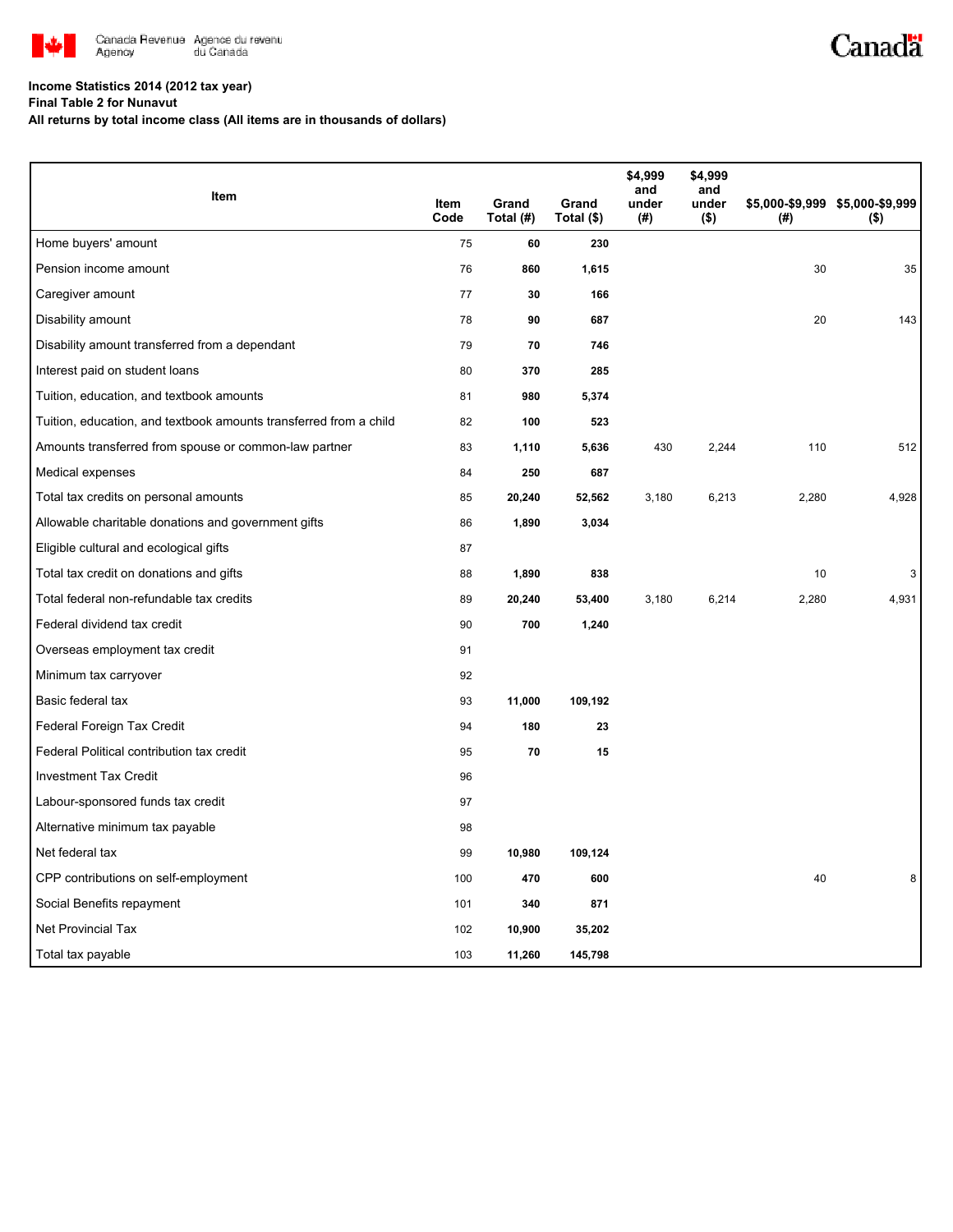

## **Income Statistics 2014 (2012 tax year)**

**Final Table 2 for Nunavut**

**All returns by total income class (All items are in thousands of dollars)**

| Item                                                              |              |                    |                     | \$4,999<br>and | \$4,999<br>and   |       |                                            |
|-------------------------------------------------------------------|--------------|--------------------|---------------------|----------------|------------------|-------|--------------------------------------------|
|                                                                   | Item<br>Code | Grand<br>Total (#) | Grand<br>Total (\$) | under<br>(#)   | under<br>$($ \$) | (#)   | \$5,000-\$9,999 \$5,000-\$9,999<br>$($ \$) |
| Home buyers' amount                                               | 75           | 60                 | 230                 |                |                  |       |                                            |
| Pension income amount                                             | 76           | 860                | 1,615               |                |                  | 30    | 35                                         |
| Caregiver amount                                                  | 77           | 30                 | 166                 |                |                  |       |                                            |
| Disability amount                                                 | 78           | 90                 | 687                 |                |                  | 20    | 143                                        |
| Disability amount transferred from a dependant                    | 79           | 70                 | 746                 |                |                  |       |                                            |
| Interest paid on student loans                                    | 80           | 370                | 285                 |                |                  |       |                                            |
| Tuition, education, and textbook amounts                          | 81           | 980                | 5,374               |                |                  |       |                                            |
| Tuition, education, and textbook amounts transferred from a child | 82           | 100                | 523                 |                |                  |       |                                            |
| Amounts transferred from spouse or common-law partner             | 83           | 1,110              | 5,636               | 430            | 2,244            | 110   | 512                                        |
| Medical expenses                                                  | 84           | 250                | 687                 |                |                  |       |                                            |
| Total tax credits on personal amounts                             | 85           | 20,240             | 52,562              | 3,180          | 6,213            | 2,280 | 4,928                                      |
| Allowable charitable donations and government gifts               | 86           | 1,890              | 3,034               |                |                  |       |                                            |
| Eligible cultural and ecological gifts                            | 87           |                    |                     |                |                  |       |                                            |
| Total tax credit on donations and gifts                           | 88           | 1,890              | 838                 |                |                  | 10    | 3                                          |
| Total federal non-refundable tax credits                          | 89           | 20,240             | 53,400              | 3,180          | 6,214            | 2,280 | 4,931                                      |
| Federal dividend tax credit                                       | 90           | 700                | 1,240               |                |                  |       |                                            |
| Overseas employment tax credit                                    | 91           |                    |                     |                |                  |       |                                            |
| Minimum tax carryover                                             | 92           |                    |                     |                |                  |       |                                            |
| Basic federal tax                                                 | 93           | 11,000             | 109,192             |                |                  |       |                                            |
| Federal Foreign Tax Credit                                        | 94           | 180                | 23                  |                |                  |       |                                            |
| Federal Political contribution tax credit                         | 95           | 70                 | 15                  |                |                  |       |                                            |
| <b>Investment Tax Credit</b>                                      | 96           |                    |                     |                |                  |       |                                            |
| Labour-sponsored funds tax credit                                 | 97           |                    |                     |                |                  |       |                                            |
| Alternative minimum tax payable                                   | 98           |                    |                     |                |                  |       |                                            |
| Net federal tax                                                   | 99           | 10,980             | 109,124             |                |                  |       |                                            |
| CPP contributions on self-employment                              | 100          | 470                | 600                 |                |                  | 40    |                                            |
| Social Benefits repayment                                         | 101          | 340                | 871                 |                |                  |       |                                            |
| Net Provincial Tax                                                | 102          | 10,900             | 35,202              |                |                  |       |                                            |
| Total tax payable                                                 | 103          | 11,260             | 145,798             |                |                  |       |                                            |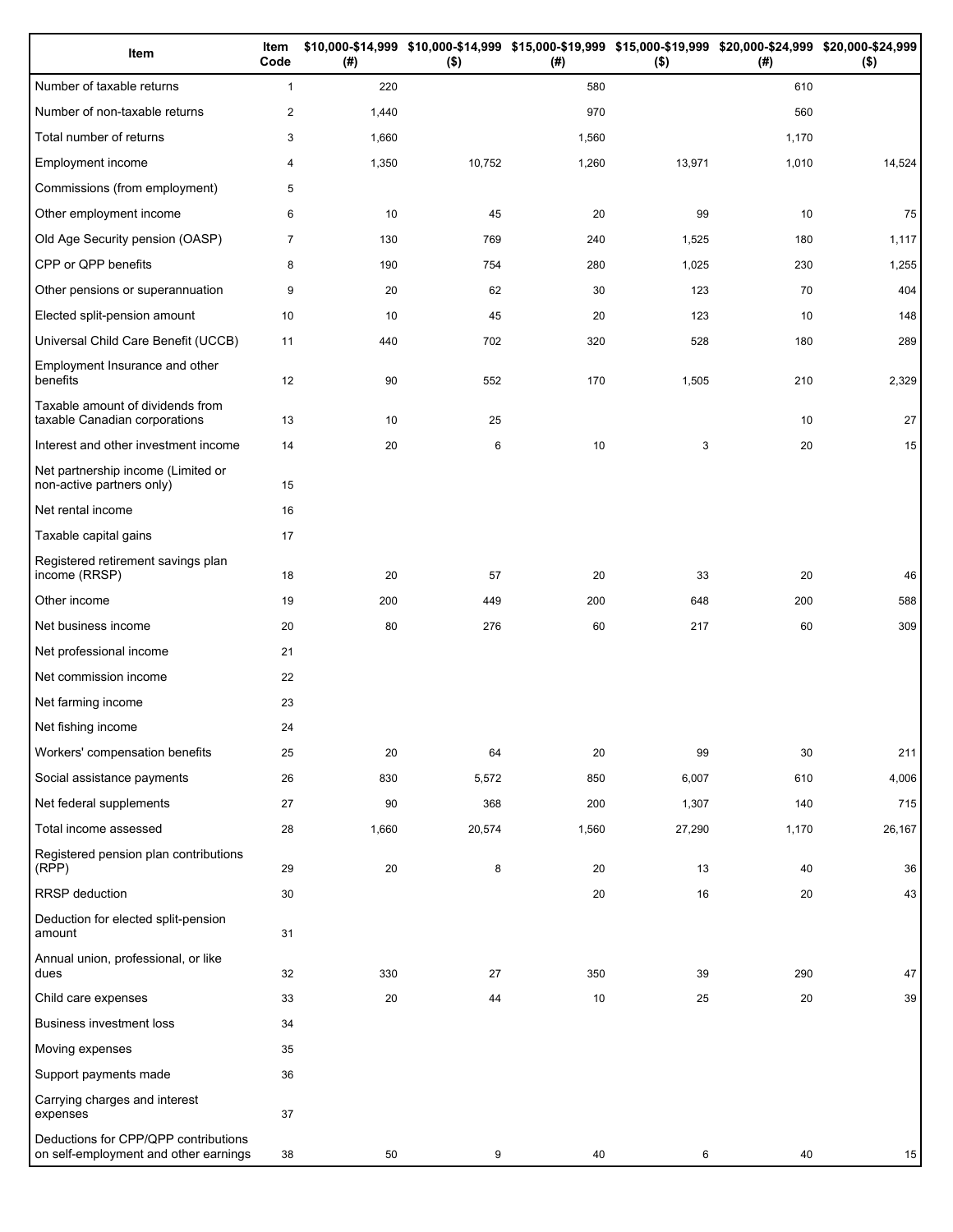| Item                                                                          | Item<br>Code   | (# )  | $($ \$) | (#)   | \$10,000-\$14,999 \$10,000-\$14,999 \$15,000-\$19,999 \$15,000-\$19,999 \$20,000-\$24,999 \$20,000-\$24,999<br>$($ \$) | (#)   | $($ \$) |
|-------------------------------------------------------------------------------|----------------|-------|---------|-------|------------------------------------------------------------------------------------------------------------------------|-------|---------|
| Number of taxable returns                                                     | $\mathbf{1}$   | 220   |         | 580   |                                                                                                                        | 610   |         |
| Number of non-taxable returns                                                 | $\overline{c}$ | 1,440 |         | 970   |                                                                                                                        | 560   |         |
| Total number of returns                                                       | 3              | 1,660 |         | 1,560 |                                                                                                                        | 1,170 |         |
| Employment income                                                             | 4              | 1,350 | 10,752  | 1,260 | 13,971                                                                                                                 | 1,010 | 14,524  |
| Commissions (from employment)                                                 | 5              |       |         |       |                                                                                                                        |       |         |
| Other employment income                                                       | 6              | 10    | 45      | 20    | 99                                                                                                                     | 10    | 75      |
| Old Age Security pension (OASP)                                               | $\overline{7}$ | 130   | 769     | 240   | 1,525                                                                                                                  | 180   | 1,117   |
| CPP or QPP benefits                                                           | 8              | 190   | 754     | 280   | 1,025                                                                                                                  | 230   | 1,255   |
| Other pensions or superannuation                                              | 9              | 20    | 62      | 30    | 123                                                                                                                    | 70    | 404     |
| Elected split-pension amount                                                  | 10             | 10    | 45      | 20    | 123                                                                                                                    | 10    | 148     |
| Universal Child Care Benefit (UCCB)                                           | 11             | 440   | 702     | 320   | 528                                                                                                                    | 180   | 289     |
| Employment Insurance and other<br>benefits                                    | 12             | 90    | 552     | 170   | 1,505                                                                                                                  | 210   | 2,329   |
| Taxable amount of dividends from<br>taxable Canadian corporations             | 13             | 10    | 25      |       |                                                                                                                        | 10    | 27      |
| Interest and other investment income                                          | 14             | 20    | 6       | 10    | 3                                                                                                                      | 20    | 15      |
| Net partnership income (Limited or<br>non-active partners only)               | 15             |       |         |       |                                                                                                                        |       |         |
| Net rental income                                                             | 16             |       |         |       |                                                                                                                        |       |         |
| Taxable capital gains                                                         | 17             |       |         |       |                                                                                                                        |       |         |
| Registered retirement savings plan<br>income (RRSP)                           | 18             | 20    | 57      | 20    | 33                                                                                                                     | 20    | 46      |
| Other income                                                                  | 19             | 200   | 449     | 200   | 648                                                                                                                    | 200   | 588     |
| Net business income                                                           | 20             | 80    | 276     | 60    | 217                                                                                                                    | 60    | 309     |
| Net professional income                                                       | 21             |       |         |       |                                                                                                                        |       |         |
| Net commission income                                                         | 22             |       |         |       |                                                                                                                        |       |         |
| Net farming income                                                            | 23             |       |         |       |                                                                                                                        |       |         |
| Net fishing income                                                            | 24             |       |         |       |                                                                                                                        |       |         |
| Workers' compensation benefits                                                | 25             | 20    | 64      | 20    | 99                                                                                                                     | 30    | 211     |
| Social assistance payments                                                    | 26             | 830   | 5,572   | 850   | 6,007                                                                                                                  | 610   | 4,006   |
| Net federal supplements                                                       | 27             | 90    | 368     | 200   | 1,307                                                                                                                  | 140   | 715     |
| Total income assessed                                                         | 28             | 1,660 | 20,574  | 1,560 | 27,290                                                                                                                 | 1,170 | 26,167  |
| Registered pension plan contributions<br>(RPP)                                | 29             | 20    | 8       | 20    | 13                                                                                                                     | 40    | 36      |
| RRSP deduction                                                                | 30             |       |         | 20    | 16                                                                                                                     | 20    | 43      |
| Deduction for elected split-pension<br>amount                                 | 31             |       |         |       |                                                                                                                        |       |         |
| Annual union, professional, or like<br>dues                                   | 32             | 330   | 27      | 350   | 39                                                                                                                     | 290   | 47      |
| Child care expenses                                                           | 33             | 20    | 44      | 10    | 25                                                                                                                     | 20    | 39      |
| <b>Business investment loss</b>                                               | 34             |       |         |       |                                                                                                                        |       |         |
| Moving expenses                                                               | 35             |       |         |       |                                                                                                                        |       |         |
| Support payments made                                                         | 36             |       |         |       |                                                                                                                        |       |         |
| Carrying charges and interest<br>expenses                                     | 37             |       |         |       |                                                                                                                        |       |         |
| Deductions for CPP/QPP contributions<br>on self-employment and other earnings | 38             | 50    | 9       | 40    | 6                                                                                                                      | 40    | 15      |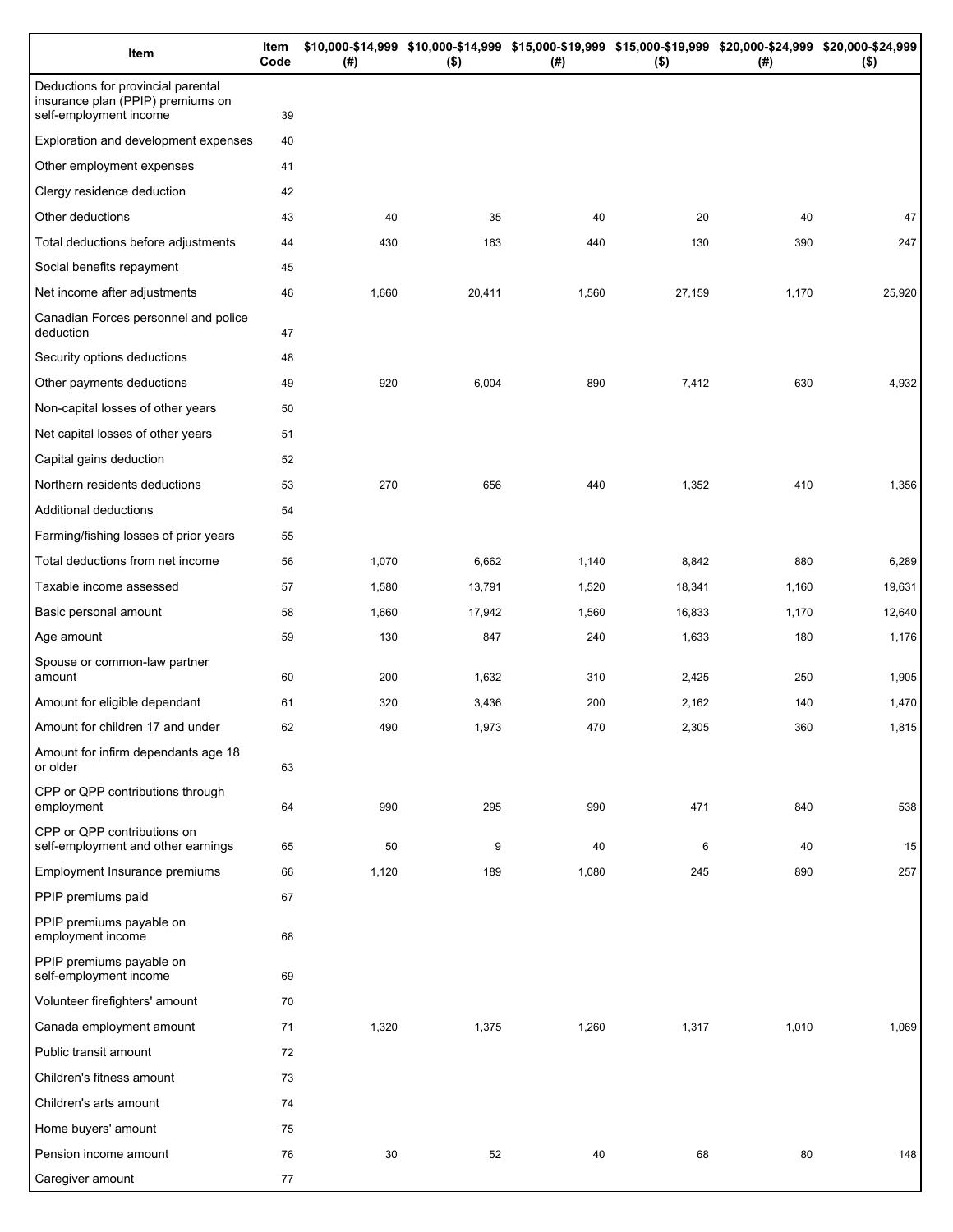| Item                                                                                              | Item<br>Code | (# )  | \$10,000-\$14,999 \$10,000-\$14,999 \$15,000-\$19,999 \$15,000-\$19,999 \$20,000-\$24,999 \$20,000-\$24,999<br>$($ \$) | (#)   | $($ \$) | $(\#)$ | $($ \$) |
|---------------------------------------------------------------------------------------------------|--------------|-------|------------------------------------------------------------------------------------------------------------------------|-------|---------|--------|---------|
| Deductions for provincial parental<br>insurance plan (PPIP) premiums on<br>self-employment income | 39           |       |                                                                                                                        |       |         |        |         |
| Exploration and development expenses                                                              | 40           |       |                                                                                                                        |       |         |        |         |
| Other employment expenses                                                                         | 41           |       |                                                                                                                        |       |         |        |         |
| Clergy residence deduction                                                                        | 42           |       |                                                                                                                        |       |         |        |         |
| Other deductions                                                                                  | 43           | 40    | 35                                                                                                                     | 40    | 20      | 40     | 47      |
| Total deductions before adjustments                                                               | 44           | 430   | 163                                                                                                                    | 440   | 130     | 390    | 247     |
| Social benefits repayment                                                                         | 45           |       |                                                                                                                        |       |         |        |         |
| Net income after adjustments                                                                      | 46           | 1,660 | 20,411                                                                                                                 | 1,560 | 27,159  | 1,170  | 25,920  |
| Canadian Forces personnel and police<br>deduction                                                 | 47           |       |                                                                                                                        |       |         |        |         |
| Security options deductions                                                                       | 48           |       |                                                                                                                        |       |         |        |         |
| Other payments deductions                                                                         | 49           | 920   | 6,004                                                                                                                  | 890   | 7,412   | 630    | 4,932   |
| Non-capital losses of other years                                                                 | 50           |       |                                                                                                                        |       |         |        |         |
| Net capital losses of other years                                                                 | 51           |       |                                                                                                                        |       |         |        |         |
| Capital gains deduction                                                                           | 52           |       |                                                                                                                        |       |         |        |         |
| Northern residents deductions                                                                     | 53           | 270   | 656                                                                                                                    | 440   | 1,352   | 410    | 1,356   |
| Additional deductions                                                                             | 54           |       |                                                                                                                        |       |         |        |         |
| Farming/fishing losses of prior years                                                             | 55           |       |                                                                                                                        |       |         |        |         |
| Total deductions from net income                                                                  | 56           | 1,070 | 6,662                                                                                                                  | 1,140 | 8,842   | 880    | 6,289   |
| Taxable income assessed                                                                           | 57           | 1,580 | 13,791                                                                                                                 | 1,520 | 18,341  | 1,160  | 19,631  |
| Basic personal amount                                                                             | 58           | 1,660 | 17,942                                                                                                                 | 1,560 | 16,833  | 1,170  | 12,640  |
| Age amount                                                                                        | 59           | 130   | 847                                                                                                                    | 240   | 1,633   | 180    | 1,176   |
| Spouse or common-law partner<br>amount                                                            | 60           | 200   | 1,632                                                                                                                  | 310   | 2,425   | 250    | 1,905   |
| Amount for eligible dependant                                                                     | 61           | 320   | 3,436                                                                                                                  | 200   | 2,162   | 140    | 1,470   |
| Amount for children 17 and under                                                                  | 62           | 490   | 1,973                                                                                                                  | 470   | 2,305   | 360    | 1,815   |
| Amount for infirm dependants age 18<br>or older                                                   | 63           |       |                                                                                                                        |       |         |        |         |
| CPP or QPP contributions through<br>employment                                                    | 64           | 990   | 295                                                                                                                    | 990   | 471     | 840    | 538     |
| CPP or QPP contributions on<br>self-employment and other earnings                                 | 65           | 50    | 9                                                                                                                      | 40    | 6       | 40     | 15      |
| Employment Insurance premiums                                                                     | 66           | 1,120 | 189                                                                                                                    | 1,080 | 245     | 890    | 257     |
| PPIP premiums paid                                                                                | 67           |       |                                                                                                                        |       |         |        |         |
| PPIP premiums payable on<br>employment income                                                     | 68           |       |                                                                                                                        |       |         |        |         |
| PPIP premiums payable on<br>self-employment income                                                | 69           |       |                                                                                                                        |       |         |        |         |
| Volunteer firefighters' amount                                                                    | 70           |       |                                                                                                                        |       |         |        |         |
| Canada employment amount                                                                          | 71           | 1,320 | 1,375                                                                                                                  | 1,260 | 1,317   | 1,010  | 1,069   |
| Public transit amount                                                                             | 72           |       |                                                                                                                        |       |         |        |         |
| Children's fitness amount                                                                         | 73           |       |                                                                                                                        |       |         |        |         |
| Children's arts amount                                                                            | 74           |       |                                                                                                                        |       |         |        |         |
| Home buyers' amount                                                                               | 75           |       |                                                                                                                        |       |         |        |         |
| Pension income amount                                                                             | 76           | 30    | 52                                                                                                                     | 40    | 68      | 80     | 148     |
| Caregiver amount                                                                                  | 77           |       |                                                                                                                        |       |         |        |         |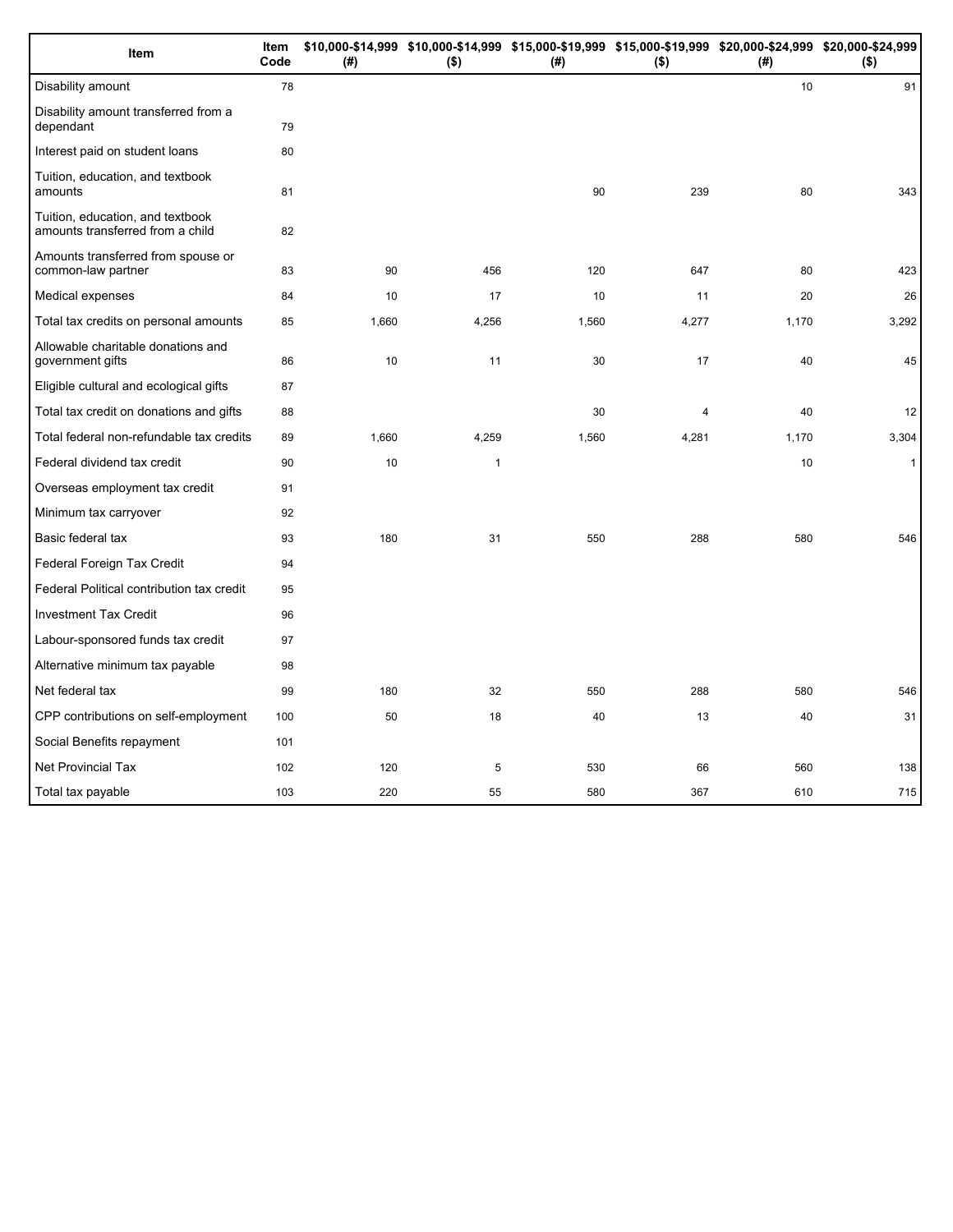| Item                                                                 | Item<br>Code | (#)   | $($ \$)      | \$10,000-\$14,999 \$10,000-\$14,999 \$15,000-\$19,999 \$15,000-\$19,999 \$20,000-\$24,999 \$20,000-\$24,999<br>(#) | $($ \$)        | (#)   | $($ \$)      |
|----------------------------------------------------------------------|--------------|-------|--------------|--------------------------------------------------------------------------------------------------------------------|----------------|-------|--------------|
| Disability amount                                                    | 78           |       |              |                                                                                                                    |                | 10    | 91           |
| Disability amount transferred from a<br>dependant                    | 79           |       |              |                                                                                                                    |                |       |              |
| Interest paid on student loans                                       | 80           |       |              |                                                                                                                    |                |       |              |
| Tuition, education, and textbook<br>amounts                          | 81           |       |              | 90                                                                                                                 | 239            | 80    | 343          |
| Tuition, education, and textbook<br>amounts transferred from a child | 82           |       |              |                                                                                                                    |                |       |              |
| Amounts transferred from spouse or<br>common-law partner             | 83           | 90    | 456          | 120                                                                                                                | 647            | 80    | 423          |
| Medical expenses                                                     | 84           | 10    | 17           | 10                                                                                                                 | 11             | 20    | 26           |
| Total tax credits on personal amounts                                | 85           | 1,660 | 4,256        | 1,560                                                                                                              | 4,277          | 1,170 | 3,292        |
| Allowable charitable donations and<br>government gifts               | 86           | 10    | 11           | 30                                                                                                                 | 17             | 40    | 45           |
| Eligible cultural and ecological gifts                               | 87           |       |              |                                                                                                                    |                |       |              |
| Total tax credit on donations and gifts                              | 88           |       |              | 30                                                                                                                 | $\overline{4}$ | 40    | 12           |
| Total federal non-refundable tax credits                             | 89           | 1,660 | 4,259        | 1,560                                                                                                              | 4,281          | 1,170 | 3,304        |
| Federal dividend tax credit                                          | 90           | 10    | $\mathbf{1}$ |                                                                                                                    |                | 10    | $\mathbf{1}$ |
| Overseas employment tax credit                                       | 91           |       |              |                                                                                                                    |                |       |              |
| Minimum tax carryover                                                | 92           |       |              |                                                                                                                    |                |       |              |
| Basic federal tax                                                    | 93           | 180   | 31           | 550                                                                                                                | 288            | 580   | 546          |
| Federal Foreign Tax Credit                                           | 94           |       |              |                                                                                                                    |                |       |              |
| Federal Political contribution tax credit                            | 95           |       |              |                                                                                                                    |                |       |              |
| <b>Investment Tax Credit</b>                                         | 96           |       |              |                                                                                                                    |                |       |              |
| Labour-sponsored funds tax credit                                    | 97           |       |              |                                                                                                                    |                |       |              |
| Alternative minimum tax payable                                      | 98           |       |              |                                                                                                                    |                |       |              |
| Net federal tax                                                      | 99           | 180   | 32           | 550                                                                                                                | 288            | 580   | 546          |
| CPP contributions on self-employment                                 | 100          | 50    | 18           | 40                                                                                                                 | 13             | 40    | 31           |
| Social Benefits repayment                                            | 101          |       |              |                                                                                                                    |                |       |              |
| <b>Net Provincial Tax</b>                                            | 102          | 120   | 5            | 530                                                                                                                | 66             | 560   | 138          |
| Total tax payable                                                    | 103          | 220   | 55           | 580                                                                                                                | 367            | 610   | 715          |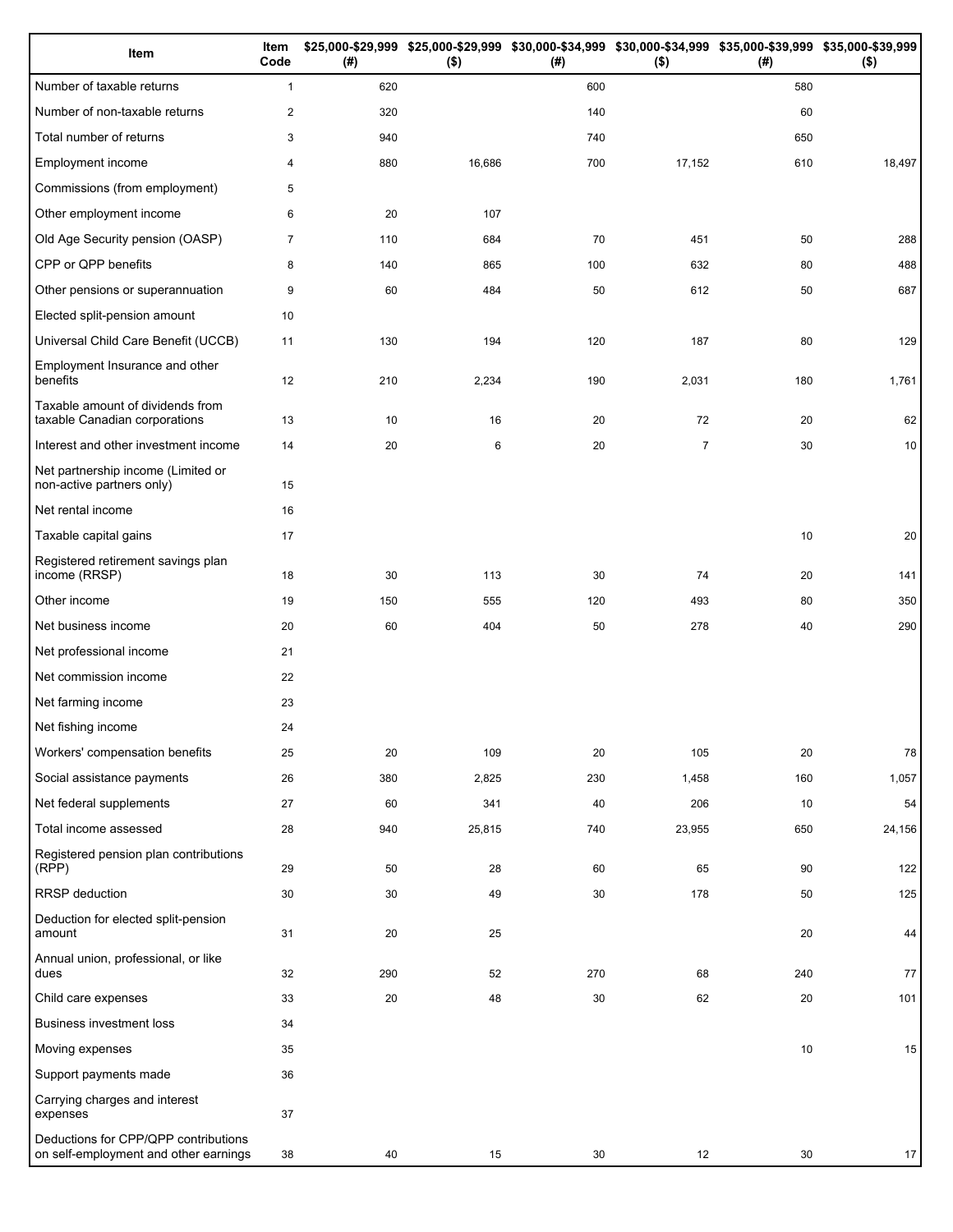| Item                                                                          | Item<br>Code   | (# ) | $($ \$) | (#) | \$25,000-\$29,999 \$25,000-\$29,999 \$30,000-\$34,999 \$30,000-\$34,999 \$35,000-\$39,999 \$35,000-\$39,999<br>$($ \$) | (# ) | $($ \$) |
|-------------------------------------------------------------------------------|----------------|------|---------|-----|------------------------------------------------------------------------------------------------------------------------|------|---------|
| Number of taxable returns                                                     | $\mathbf{1}$   | 620  |         | 600 |                                                                                                                        | 580  |         |
| Number of non-taxable returns                                                 | $\overline{2}$ | 320  |         | 140 |                                                                                                                        | 60   |         |
| Total number of returns                                                       | 3              | 940  |         | 740 |                                                                                                                        | 650  |         |
| Employment income                                                             | 4              | 880  | 16,686  | 700 | 17,152                                                                                                                 | 610  | 18,497  |
| Commissions (from employment)                                                 | 5              |      |         |     |                                                                                                                        |      |         |
| Other employment income                                                       | 6              | 20   | 107     |     |                                                                                                                        |      |         |
| Old Age Security pension (OASP)                                               | $\overline{7}$ | 110  | 684     | 70  | 451                                                                                                                    | 50   | 288     |
| CPP or QPP benefits                                                           | 8              | 140  | 865     | 100 | 632                                                                                                                    | 80   | 488     |
| Other pensions or superannuation                                              | 9              | 60   | 484     | 50  | 612                                                                                                                    | 50   | 687     |
| Elected split-pension amount                                                  | 10             |      |         |     |                                                                                                                        |      |         |
| Universal Child Care Benefit (UCCB)                                           | 11             | 130  | 194     | 120 | 187                                                                                                                    | 80   | 129     |
| Employment Insurance and other<br>benefits                                    | 12             | 210  | 2,234   | 190 | 2,031                                                                                                                  | 180  | 1,761   |
| Taxable amount of dividends from<br>taxable Canadian corporations             | 13             | 10   | 16      | 20  | 72                                                                                                                     | 20   | 62      |
| Interest and other investment income                                          | 14             | 20   | 6       | 20  | $\overline{7}$                                                                                                         | 30   | 10      |
| Net partnership income (Limited or<br>non-active partners only)               | 15             |      |         |     |                                                                                                                        |      |         |
| Net rental income                                                             | 16             |      |         |     |                                                                                                                        |      |         |
| Taxable capital gains                                                         | 17             |      |         |     |                                                                                                                        | 10   | 20      |
| Registered retirement savings plan<br>income (RRSP)                           | 18             | 30   | 113     | 30  | 74                                                                                                                     | 20   | 141     |
| Other income                                                                  | 19             | 150  | 555     | 120 | 493                                                                                                                    | 80   | 350     |
| Net business income                                                           | 20             | 60   | 404     | 50  | 278                                                                                                                    | 40   | 290     |
| Net professional income                                                       | 21             |      |         |     |                                                                                                                        |      |         |
| Net commission income                                                         | 22             |      |         |     |                                                                                                                        |      |         |
| Net farming income                                                            | 23             |      |         |     |                                                                                                                        |      |         |
| Net fishing income                                                            | 24             |      |         |     |                                                                                                                        |      |         |
| Workers' compensation benefits                                                | 25             | 20   | 109     | 20  | 105                                                                                                                    | 20   | 78      |
| Social assistance payments                                                    | 26             | 380  | 2,825   | 230 | 1,458                                                                                                                  | 160  | 1,057   |
| Net federal supplements                                                       | 27             | 60   | 341     | 40  | 206                                                                                                                    | 10   | 54      |
| Total income assessed                                                         | 28             | 940  | 25,815  | 740 | 23,955                                                                                                                 | 650  | 24,156  |
| Registered pension plan contributions<br>(RPP)                                | 29             | 50   | 28      | 60  | 65                                                                                                                     | 90   | 122     |
| RRSP deduction                                                                | 30             | 30   | 49      | 30  | 178                                                                                                                    | 50   | 125     |
| Deduction for elected split-pension<br>amount                                 | 31             | 20   | 25      |     |                                                                                                                        | 20   | 44      |
| Annual union, professional, or like<br>dues                                   | 32             | 290  | 52      | 270 | 68                                                                                                                     | 240  | 77      |
| Child care expenses                                                           | 33             | 20   | 48      | 30  | 62                                                                                                                     | 20   | 101     |
| Business investment loss                                                      | 34             |      |         |     |                                                                                                                        |      |         |
| Moving expenses                                                               | 35             |      |         |     |                                                                                                                        | 10   | 15      |
| Support payments made                                                         | 36             |      |         |     |                                                                                                                        |      |         |
| Carrying charges and interest<br>expenses                                     | 37             |      |         |     |                                                                                                                        |      |         |
| Deductions for CPP/QPP contributions<br>on self-employment and other earnings | 38             | 40   | 15      | 30  | 12                                                                                                                     | 30   | 17      |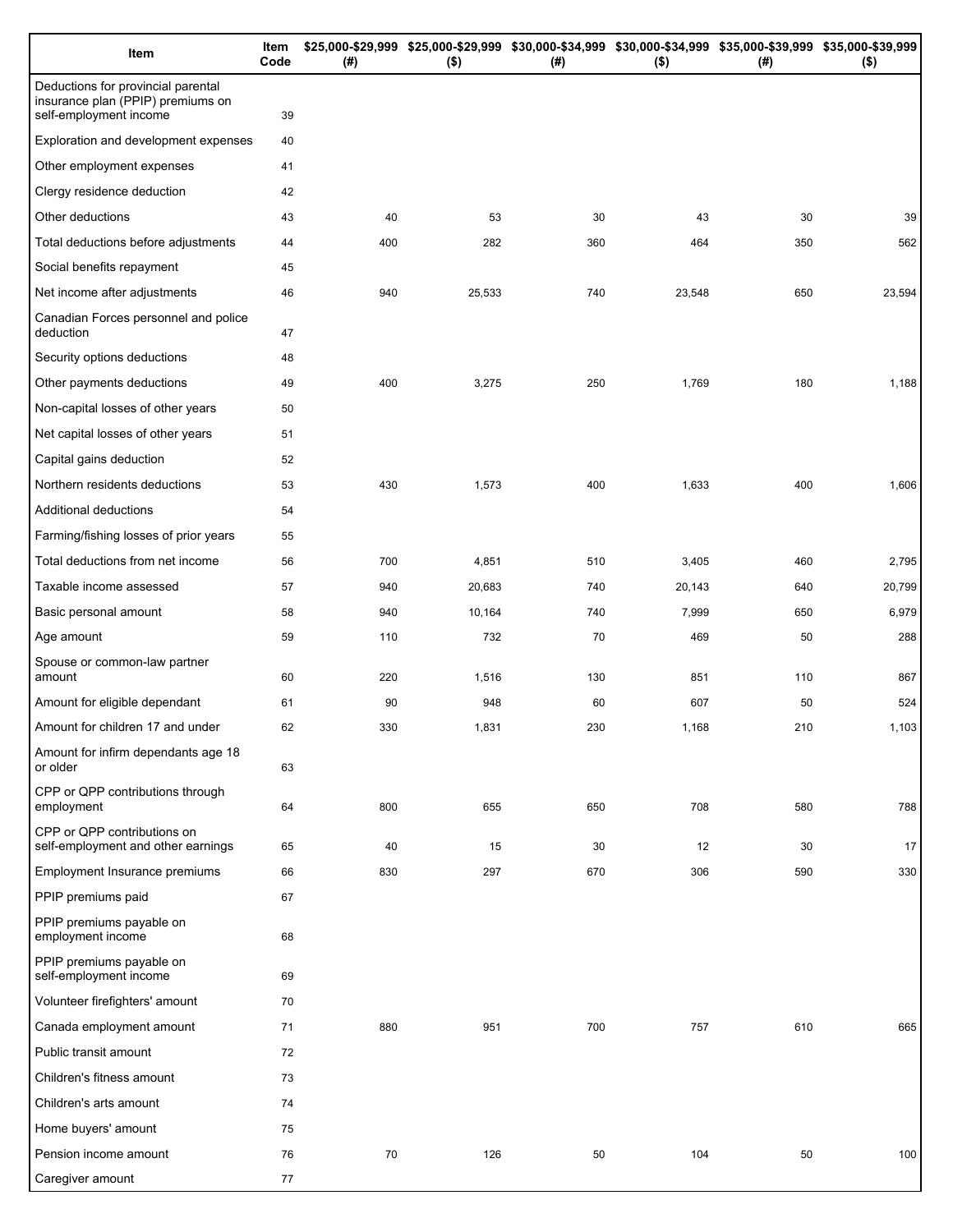| Item                                                                                              | Item<br>Code | (# ) | \$25,000-\$29,999 \$25,000-\$29,999 \$30,000-\$34,999 \$30,000-\$34,999 \$35,000-\$39,999 \$35,000-\$39,999<br>$($ \$) | $($ #) | $($ \$) | (# ) | $($ \$) |
|---------------------------------------------------------------------------------------------------|--------------|------|------------------------------------------------------------------------------------------------------------------------|--------|---------|------|---------|
| Deductions for provincial parental<br>insurance plan (PPIP) premiums on<br>self-employment income | 39           |      |                                                                                                                        |        |         |      |         |
| Exploration and development expenses                                                              | 40           |      |                                                                                                                        |        |         |      |         |
| Other employment expenses                                                                         | 41           |      |                                                                                                                        |        |         |      |         |
| Clergy residence deduction                                                                        | 42           |      |                                                                                                                        |        |         |      |         |
| Other deductions                                                                                  | 43           | 40   | 53                                                                                                                     | 30     | 43      | 30   | 39      |
| Total deductions before adjustments                                                               | 44           | 400  | 282                                                                                                                    | 360    | 464     | 350  | 562     |
| Social benefits repayment                                                                         | 45           |      |                                                                                                                        |        |         |      |         |
| Net income after adjustments                                                                      | 46           | 940  | 25,533                                                                                                                 | 740    | 23,548  | 650  | 23,594  |
| Canadian Forces personnel and police<br>deduction                                                 | 47           |      |                                                                                                                        |        |         |      |         |
| Security options deductions                                                                       | 48           |      |                                                                                                                        |        |         |      |         |
| Other payments deductions                                                                         | 49           | 400  | 3,275                                                                                                                  | 250    | 1,769   | 180  | 1,188   |
| Non-capital losses of other years                                                                 | 50           |      |                                                                                                                        |        |         |      |         |
| Net capital losses of other years                                                                 | 51           |      |                                                                                                                        |        |         |      |         |
| Capital gains deduction                                                                           | 52           |      |                                                                                                                        |        |         |      |         |
| Northern residents deductions                                                                     | 53           | 430  | 1,573                                                                                                                  | 400    | 1,633   | 400  | 1,606   |
| Additional deductions                                                                             | 54           |      |                                                                                                                        |        |         |      |         |
| Farming/fishing losses of prior years                                                             | 55           |      |                                                                                                                        |        |         |      |         |
| Total deductions from net income                                                                  | 56           | 700  | 4,851                                                                                                                  | 510    | 3,405   | 460  | 2,795   |
| Taxable income assessed                                                                           | 57           | 940  | 20,683                                                                                                                 | 740    | 20,143  | 640  | 20,799  |
| Basic personal amount                                                                             | 58           | 940  | 10,164                                                                                                                 | 740    | 7,999   | 650  | 6,979   |
| Age amount                                                                                        | 59           | 110  | 732                                                                                                                    | 70     | 469     | 50   | 288     |
| Spouse or common-law partner<br>amount                                                            | 60           | 220  | 1,516                                                                                                                  | 130    | 851     | 110  | 867     |
| Amount for eligible dependant                                                                     | 61           | 90   | 948                                                                                                                    | 60     | 607     | 50   | 524     |
| Amount for children 17 and under                                                                  | 62           | 330  | 1,831                                                                                                                  | 230    | 1,168   | 210  | 1,103   |
| Amount for infirm dependants age 18<br>or older                                                   | 63           |      |                                                                                                                        |        |         |      |         |
| CPP or QPP contributions through<br>employment                                                    | 64           | 800  | 655                                                                                                                    | 650    | 708     | 580  | 788     |
| CPP or QPP contributions on<br>self-employment and other earnings                                 | 65           | 40   | 15                                                                                                                     | 30     | 12      | 30   | 17      |
| Employment Insurance premiums                                                                     | 66           | 830  | 297                                                                                                                    | 670    | 306     | 590  | 330     |
| PPIP premiums paid                                                                                | 67           |      |                                                                                                                        |        |         |      |         |
| PPIP premiums payable on<br>employment income                                                     | 68           |      |                                                                                                                        |        |         |      |         |
| PPIP premiums payable on<br>self-employment income                                                | 69           |      |                                                                                                                        |        |         |      |         |
| Volunteer firefighters' amount                                                                    | 70           |      |                                                                                                                        |        |         |      |         |
| Canada employment amount                                                                          | 71           | 880  | 951                                                                                                                    | 700    | 757     | 610  | 665     |
| Public transit amount                                                                             | 72           |      |                                                                                                                        |        |         |      |         |
| Children's fitness amount                                                                         | 73           |      |                                                                                                                        |        |         |      |         |
| Children's arts amount                                                                            | 74           |      |                                                                                                                        |        |         |      |         |
| Home buyers' amount                                                                               | 75           |      |                                                                                                                        |        |         |      |         |
| Pension income amount                                                                             | 76           | 70   | 126                                                                                                                    | 50     | 104     | 50   | 100     |
| Caregiver amount                                                                                  | 77           |      |                                                                                                                        |        |         |      |         |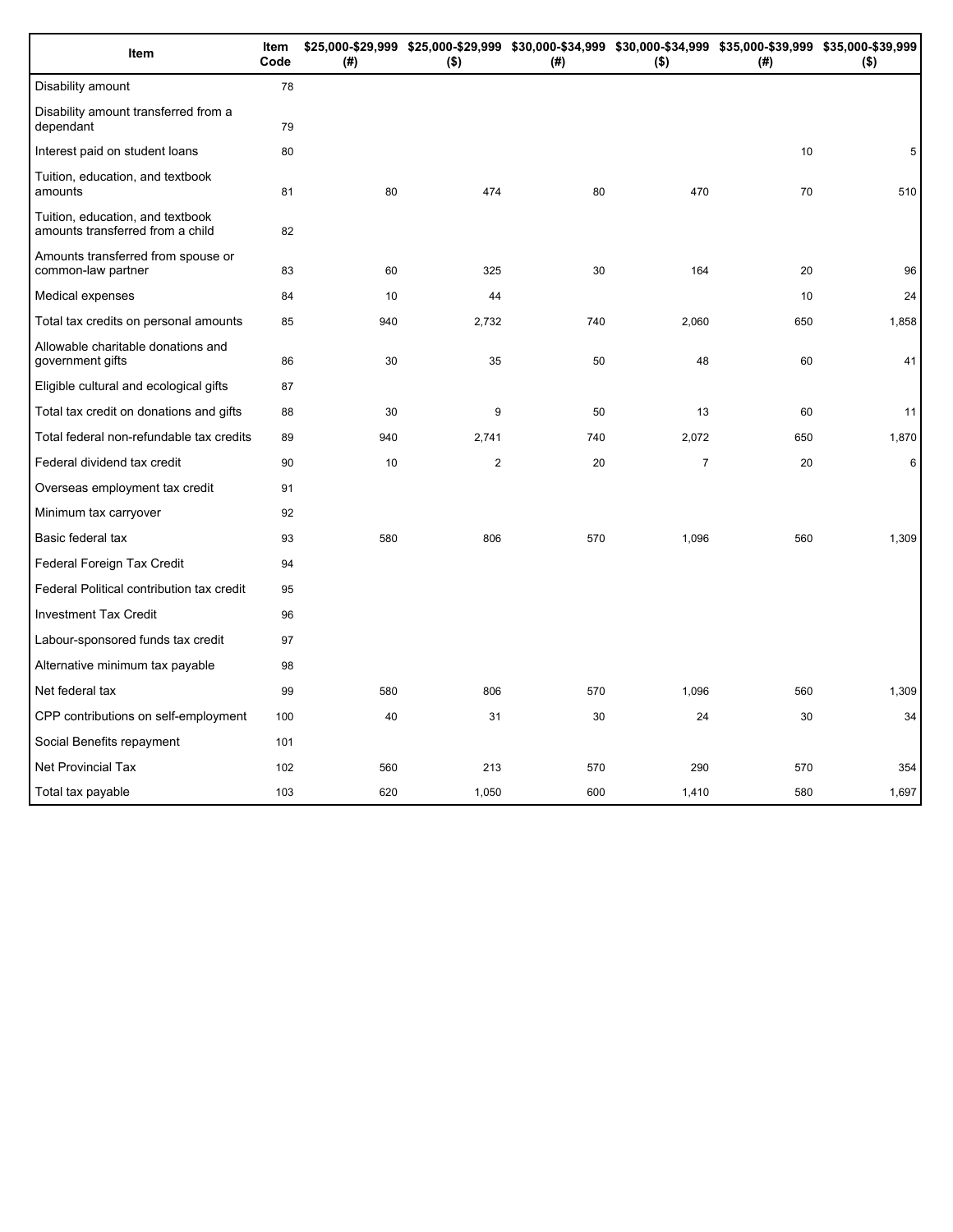| Item                                                                 | Item<br>Code | (# ) | $($ \$)        | (#) | $($ \$)        | \$25,000-\$29,999 \$25,000-\$29,999 \$30,000-\$34,999 \$30,000-\$34,999 \$35,000-\$39,999 \$35,000-\$39,999<br>(#) | $($ \$) |
|----------------------------------------------------------------------|--------------|------|----------------|-----|----------------|--------------------------------------------------------------------------------------------------------------------|---------|
| Disability amount                                                    | 78           |      |                |     |                |                                                                                                                    |         |
| Disability amount transferred from a<br>dependant                    | 79           |      |                |     |                |                                                                                                                    |         |
| Interest paid on student loans                                       | 80           |      |                |     |                | 10                                                                                                                 | 5       |
| Tuition, education, and textbook<br>amounts                          | 81           | 80   | 474            | 80  | 470            | 70                                                                                                                 | 510     |
| Tuition, education, and textbook<br>amounts transferred from a child | 82           |      |                |     |                |                                                                                                                    |         |
| Amounts transferred from spouse or<br>common-law partner             | 83           | 60   | 325            | 30  | 164            | 20                                                                                                                 | 96      |
| Medical expenses                                                     | 84           | 10   | 44             |     |                | 10                                                                                                                 | 24      |
| Total tax credits on personal amounts                                | 85           | 940  | 2,732          | 740 | 2,060          | 650                                                                                                                | 1,858   |
| Allowable charitable donations and<br>government gifts               | 86           | 30   | 35             | 50  | 48             | 60                                                                                                                 | 41      |
| Eligible cultural and ecological gifts                               | 87           |      |                |     |                |                                                                                                                    |         |
| Total tax credit on donations and gifts                              | 88           | 30   | 9              | 50  | 13             | 60                                                                                                                 | 11      |
| Total federal non-refundable tax credits                             | 89           | 940  | 2,741          | 740 | 2,072          | 650                                                                                                                | 1,870   |
| Federal dividend tax credit                                          | 90           | 10   | $\overline{2}$ | 20  | $\overline{7}$ | 20                                                                                                                 | 6       |
| Overseas employment tax credit                                       | 91           |      |                |     |                |                                                                                                                    |         |
| Minimum tax carryover                                                | 92           |      |                |     |                |                                                                                                                    |         |
| Basic federal tax                                                    | 93           | 580  | 806            | 570 | 1,096          | 560                                                                                                                | 1,309   |
| Federal Foreign Tax Credit                                           | 94           |      |                |     |                |                                                                                                                    |         |
| Federal Political contribution tax credit                            | 95           |      |                |     |                |                                                                                                                    |         |
| <b>Investment Tax Credit</b>                                         | 96           |      |                |     |                |                                                                                                                    |         |
| Labour-sponsored funds tax credit                                    | 97           |      |                |     |                |                                                                                                                    |         |
| Alternative minimum tax payable                                      | 98           |      |                |     |                |                                                                                                                    |         |
| Net federal tax                                                      | 99           | 580  | 806            | 570 | 1,096          | 560                                                                                                                | 1,309   |
| CPP contributions on self-employment                                 | 100          | 40   | 31             | 30  | 24             | 30                                                                                                                 | 34      |
| Social Benefits repayment                                            | 101          |      |                |     |                |                                                                                                                    |         |
| Net Provincial Tax                                                   | 102          | 560  | 213            | 570 | 290            | 570                                                                                                                | 354     |
| Total tax payable                                                    | 103          | 620  | 1,050          | 600 | 1,410          | 580                                                                                                                | 1,697   |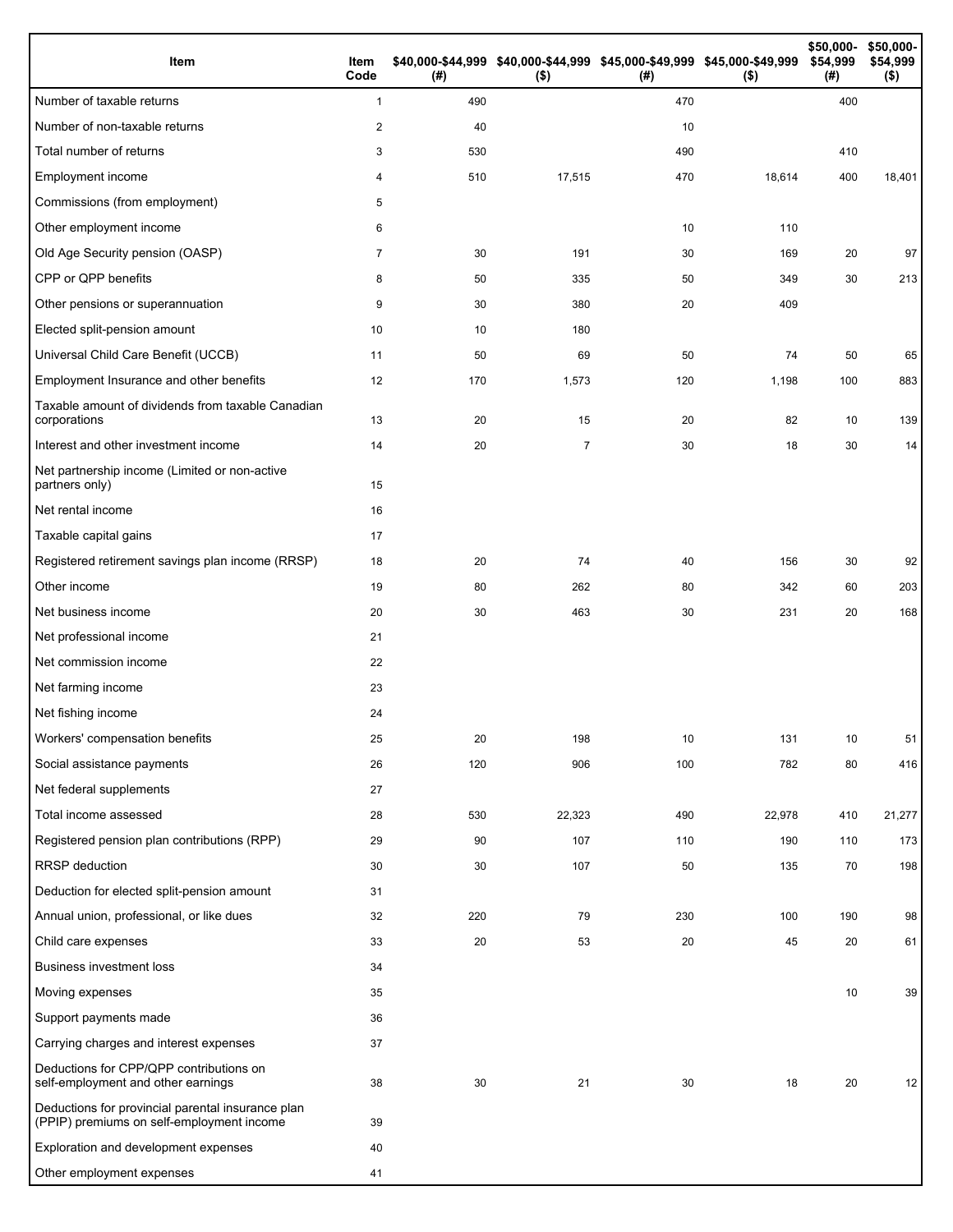| Item                                                                                           | Item<br>Code | (#) | \$40,000-\$44,999 \$40,000-\$44,999 \$45,000-\$49,999 \$45,000-\$49,999<br>$($ \$) | (#) | $($ \$) | \$50,000-<br>\$54,999<br>(#) | \$50,000-<br>\$54,999<br>$($ \$) |
|------------------------------------------------------------------------------------------------|--------------|-----|------------------------------------------------------------------------------------|-----|---------|------------------------------|----------------------------------|
| Number of taxable returns                                                                      | $\mathbf{1}$ | 490 |                                                                                    | 470 |         | 400                          |                                  |
| Number of non-taxable returns                                                                  | $\sqrt{2}$   | 40  |                                                                                    | 10  |         |                              |                                  |
| Total number of returns                                                                        | 3            | 530 |                                                                                    | 490 |         | 410                          |                                  |
| Employment income                                                                              | 4            | 510 | 17,515                                                                             | 470 | 18,614  | 400                          | 18,401                           |
| Commissions (from employment)                                                                  | 5            |     |                                                                                    |     |         |                              |                                  |
| Other employment income                                                                        | 6            |     |                                                                                    | 10  | 110     |                              |                                  |
| Old Age Security pension (OASP)                                                                | 7            | 30  | 191                                                                                | 30  | 169     | 20                           | 97                               |
| CPP or QPP benefits                                                                            | 8            | 50  | 335                                                                                | 50  | 349     | 30                           | 213                              |
| Other pensions or superannuation                                                               | 9            | 30  | 380                                                                                | 20  | 409     |                              |                                  |
| Elected split-pension amount                                                                   | 10           | 10  | 180                                                                                |     |         |                              |                                  |
| Universal Child Care Benefit (UCCB)                                                            | 11           | 50  | 69                                                                                 | 50  | 74      | 50                           | 65                               |
| Employment Insurance and other benefits                                                        | 12           | 170 | 1,573                                                                              | 120 | 1,198   | 100                          | 883                              |
| Taxable amount of dividends from taxable Canadian<br>corporations                              | 13           | 20  | 15                                                                                 | 20  | 82      | 10                           | 139                              |
| Interest and other investment income                                                           | 14           | 20  | $\overline{7}$                                                                     | 30  | 18      | 30                           | 14                               |
| Net partnership income (Limited or non-active<br>partners only)                                | 15           |     |                                                                                    |     |         |                              |                                  |
| Net rental income                                                                              | 16           |     |                                                                                    |     |         |                              |                                  |
| Taxable capital gains                                                                          | 17           |     |                                                                                    |     |         |                              |                                  |
| Registered retirement savings plan income (RRSP)                                               | 18           | 20  | 74                                                                                 | 40  | 156     | 30                           | 92                               |
| Other income                                                                                   | 19           | 80  | 262                                                                                | 80  | 342     | 60                           | 203                              |
| Net business income                                                                            | 20           | 30  | 463                                                                                | 30  | 231     | 20                           | 168                              |
| Net professional income                                                                        | 21           |     |                                                                                    |     |         |                              |                                  |
| Net commission income                                                                          | 22           |     |                                                                                    |     |         |                              |                                  |
| Net farming income                                                                             | 23           |     |                                                                                    |     |         |                              |                                  |
| Net fishing income                                                                             | 24           |     |                                                                                    |     |         |                              |                                  |
| Workers' compensation benefits                                                                 | 25           | 20  | 198                                                                                | 10  | 131     | 10                           | 51                               |
| Social assistance payments                                                                     | 26           | 120 | 906                                                                                | 100 | 782     | 80                           | 416                              |
| Net federal supplements                                                                        | 27           |     |                                                                                    |     |         |                              |                                  |
| Total income assessed                                                                          | 28           | 530 | 22,323                                                                             | 490 | 22,978  | 410                          | 21,277                           |
| Registered pension plan contributions (RPP)                                                    | 29           | 90  | 107                                                                                | 110 | 190     | 110                          | 173                              |
| <b>RRSP</b> deduction                                                                          | 30           | 30  | 107                                                                                | 50  | 135     | 70                           | 198                              |
| Deduction for elected split-pension amount                                                     | 31           |     |                                                                                    |     |         |                              |                                  |
| Annual union, professional, or like dues                                                       | 32           | 220 | 79                                                                                 | 230 | 100     | 190                          | 98                               |
| Child care expenses                                                                            | 33           | 20  | 53                                                                                 | 20  | 45      | 20                           | 61                               |
| <b>Business investment loss</b>                                                                | 34           |     |                                                                                    |     |         |                              |                                  |
| Moving expenses                                                                                | 35           |     |                                                                                    |     |         | 10                           | 39                               |
| Support payments made                                                                          | 36           |     |                                                                                    |     |         |                              |                                  |
| Carrying charges and interest expenses                                                         | 37           |     |                                                                                    |     |         |                              |                                  |
| Deductions for CPP/QPP contributions on<br>self-employment and other earnings                  | 38           | 30  | 21                                                                                 | 30  | 18      | 20                           | 12                               |
| Deductions for provincial parental insurance plan<br>(PPIP) premiums on self-employment income | 39           |     |                                                                                    |     |         |                              |                                  |
| Exploration and development expenses                                                           | 40           |     |                                                                                    |     |         |                              |                                  |
| Other employment expenses                                                                      | 41           |     |                                                                                    |     |         |                              |                                  |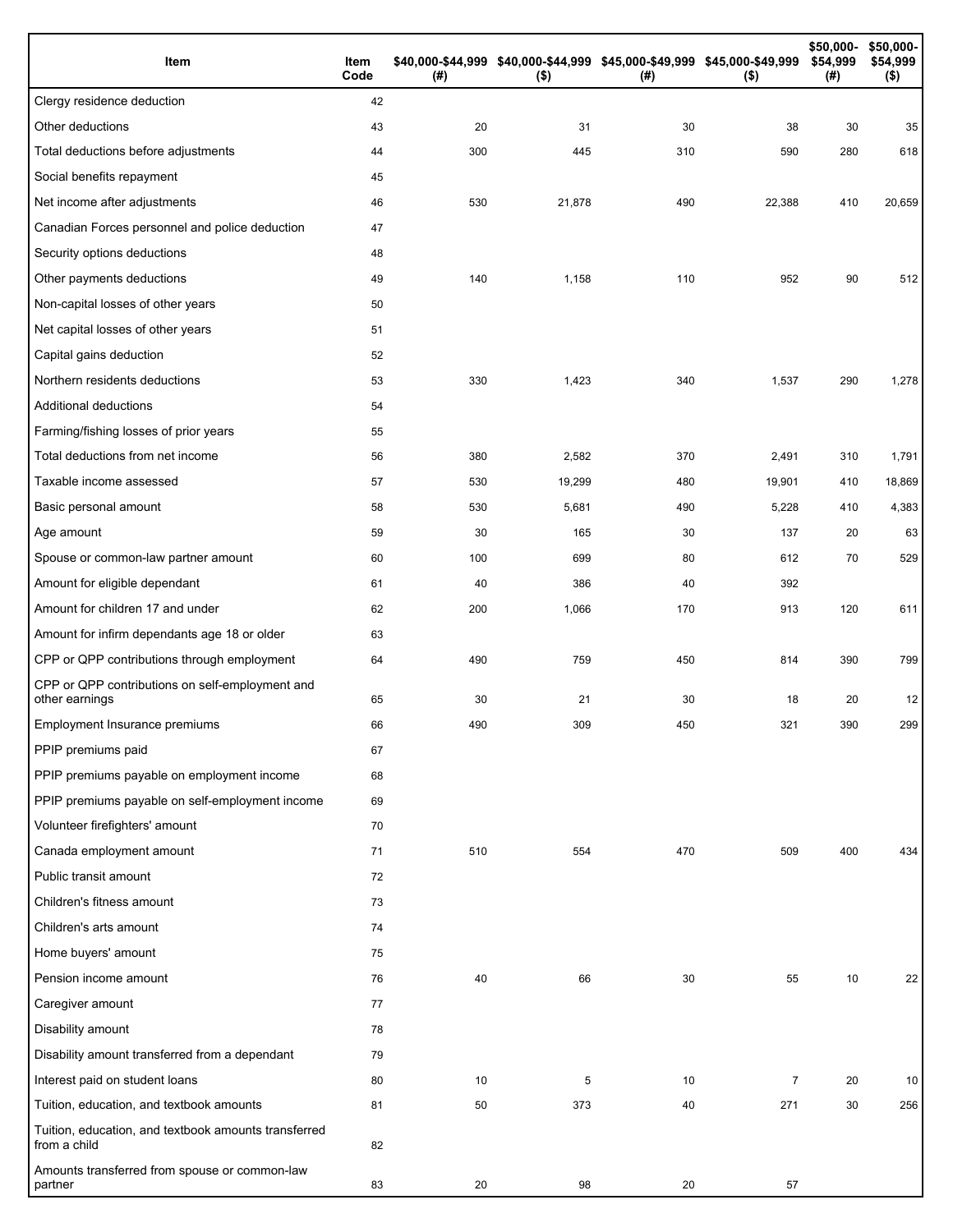| Item                                                                 | Item<br>Code | (# ) | \$40,000-\$44,999 \$40,000-\$44,999 \$45,000-\$49,999 \$45,000-\$49,999<br>$($ \$) | (#) | $($ \$) | \$50,000-<br>\$54,999<br>(#) | \$50,000-<br>\$54,999<br>$($ \$) |
|----------------------------------------------------------------------|--------------|------|------------------------------------------------------------------------------------|-----|---------|------------------------------|----------------------------------|
| Clergy residence deduction                                           | 42           |      |                                                                                    |     |         |                              |                                  |
| Other deductions                                                     | 43           | 20   | 31                                                                                 | 30  | 38      | 30                           | 35                               |
| Total deductions before adjustments                                  | 44           | 300  | 445                                                                                | 310 | 590     | 280                          | 618                              |
| Social benefits repayment                                            | 45           |      |                                                                                    |     |         |                              |                                  |
| Net income after adjustments                                         | 46           | 530  | 21,878                                                                             | 490 | 22,388  | 410                          | 20,659                           |
| Canadian Forces personnel and police deduction                       | 47           |      |                                                                                    |     |         |                              |                                  |
| Security options deductions                                          | 48           |      |                                                                                    |     |         |                              |                                  |
| Other payments deductions                                            | 49           | 140  | 1,158                                                                              | 110 | 952     | 90                           | 512                              |
| Non-capital losses of other years                                    | 50           |      |                                                                                    |     |         |                              |                                  |
| Net capital losses of other years                                    | 51           |      |                                                                                    |     |         |                              |                                  |
| Capital gains deduction                                              | 52           |      |                                                                                    |     |         |                              |                                  |
| Northern residents deductions                                        | 53           | 330  | 1,423                                                                              | 340 | 1,537   | 290                          | 1,278                            |
| Additional deductions                                                | 54           |      |                                                                                    |     |         |                              |                                  |
| Farming/fishing losses of prior years                                | 55           |      |                                                                                    |     |         |                              |                                  |
| Total deductions from net income                                     | 56           | 380  | 2,582                                                                              | 370 | 2,491   | 310                          | 1,791                            |
| Taxable income assessed                                              | 57           | 530  | 19,299                                                                             | 480 | 19,901  | 410                          | 18,869                           |
| Basic personal amount                                                | 58           | 530  | 5,681                                                                              | 490 | 5,228   | 410                          | 4,383                            |
| Age amount                                                           | 59           | 30   | 165                                                                                | 30  | 137     | 20                           | 63                               |
| Spouse or common-law partner amount                                  | 60           | 100  | 699                                                                                | 80  | 612     | 70                           | 529                              |
| Amount for eligible dependant                                        | 61           | 40   | 386                                                                                | 40  | 392     |                              |                                  |
| Amount for children 17 and under                                     | 62           | 200  | 1,066                                                                              | 170 | 913     | 120                          | 611                              |
| Amount for infirm dependants age 18 or older                         | 63           |      |                                                                                    |     |         |                              |                                  |
| CPP or QPP contributions through employment                          | 64           | 490  | 759                                                                                | 450 | 814     | 390                          | 799                              |
| CPP or QPP contributions on self-employment and<br>other earnings    | 65           | 30   | 21                                                                                 | 30  | 18      | 20                           | 12                               |
| Employment Insurance premiums                                        | 66           | 490  | 309                                                                                | 450 | 321     | 390                          | 299                              |
| PPIP premiums paid                                                   | 67           |      |                                                                                    |     |         |                              |                                  |
| PPIP premiums payable on employment income                           | 68           |      |                                                                                    |     |         |                              |                                  |
| PPIP premiums payable on self-employment income                      | 69           |      |                                                                                    |     |         |                              |                                  |
| Volunteer firefighters' amount                                       | 70           |      |                                                                                    |     |         |                              |                                  |
| Canada employment amount                                             | 71           | 510  | 554                                                                                | 470 | 509     | 400                          | 434                              |
| Public transit amount                                                | 72           |      |                                                                                    |     |         |                              |                                  |
| Children's fitness amount                                            | 73           |      |                                                                                    |     |         |                              |                                  |
| Children's arts amount                                               | 74           |      |                                                                                    |     |         |                              |                                  |
| Home buyers' amount                                                  | 75           |      |                                                                                    |     |         |                              |                                  |
| Pension income amount                                                | 76           | 40   | 66                                                                                 | 30  | 55      | 10                           | 22                               |
| Caregiver amount                                                     | 77           |      |                                                                                    |     |         |                              |                                  |
| Disability amount                                                    | 78           |      |                                                                                    |     |         |                              |                                  |
| Disability amount transferred from a dependant                       | 79           |      |                                                                                    |     |         |                              |                                  |
| Interest paid on student loans                                       | 80           | 10   | 5                                                                                  | 10  | 7       | 20                           | 10                               |
| Tuition, education, and textbook amounts                             | 81           | 50   | 373                                                                                | 40  | 271     | 30                           | 256                              |
| Tuition, education, and textbook amounts transferred<br>from a child | 82           |      |                                                                                    |     |         |                              |                                  |
| Amounts transferred from spouse or common-law<br>partner             | 83           | 20   | 98                                                                                 | 20  | 57      |                              |                                  |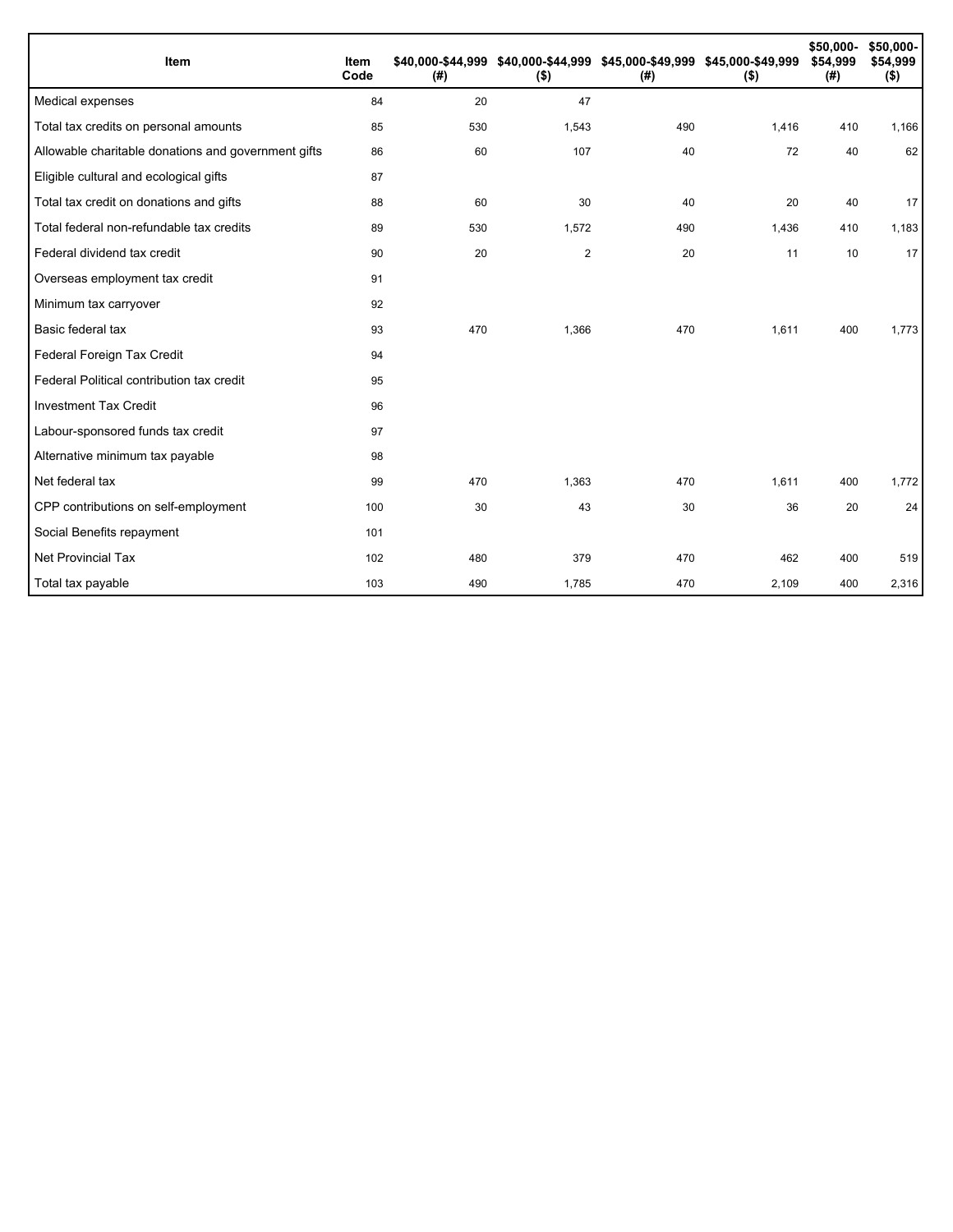| Item                                                | Item<br>Code | \$40,000-\$44,999<br>(# ) | $($ \$)        | \$40,000-\$44,999 \$45,000-\$49,999 \$45,000-\$49,999<br>(#) | $($ \$) | \$50,000-<br>\$54,999<br>(#) | \$50,000-<br>\$54,999<br>$($ \$) |
|-----------------------------------------------------|--------------|---------------------------|----------------|--------------------------------------------------------------|---------|------------------------------|----------------------------------|
| Medical expenses                                    | 84           | 20                        | 47             |                                                              |         |                              |                                  |
| Total tax credits on personal amounts               | 85           | 530                       | 1,543          | 490                                                          | 1,416   | 410                          | 1,166                            |
| Allowable charitable donations and government gifts | 86           | 60                        | 107            | 40                                                           | 72      | 40                           | 62                               |
| Eligible cultural and ecological gifts              | 87           |                           |                |                                                              |         |                              |                                  |
| Total tax credit on donations and gifts             | 88           | 60                        | 30             | 40                                                           | 20      | 40                           | 17                               |
| Total federal non-refundable tax credits            | 89           | 530                       | 1,572          | 490                                                          | 1,436   | 410                          | 1,183                            |
| Federal dividend tax credit                         | 90           | 20                        | $\overline{2}$ | 20                                                           | 11      | 10                           | 17                               |
| Overseas employment tax credit                      | 91           |                           |                |                                                              |         |                              |                                  |
| Minimum tax carryover                               | 92           |                           |                |                                                              |         |                              |                                  |
| Basic federal tax                                   | 93           | 470                       | 1,366          | 470                                                          | 1,611   | 400                          | 1,773                            |
| Federal Foreign Tax Credit                          | 94           |                           |                |                                                              |         |                              |                                  |
| Federal Political contribution tax credit           | 95           |                           |                |                                                              |         |                              |                                  |
| <b>Investment Tax Credit</b>                        | 96           |                           |                |                                                              |         |                              |                                  |
| Labour-sponsored funds tax credit                   | 97           |                           |                |                                                              |         |                              |                                  |
| Alternative minimum tax payable                     | 98           |                           |                |                                                              |         |                              |                                  |
| Net federal tax                                     | 99           | 470                       | 1,363          | 470                                                          | 1,611   | 400                          | 1,772                            |
| CPP contributions on self-employment                | 100          | 30                        | 43             | 30                                                           | 36      | 20                           | 24                               |
| Social Benefits repayment                           | 101          |                           |                |                                                              |         |                              |                                  |
| Net Provincial Tax                                  | 102          | 480                       | 379            | 470                                                          | 462     | 400                          | 519                              |
| Total tax payable                                   | 103          | 490                       | 1,785          | 470                                                          | 2,109   | 400                          | 2,316                            |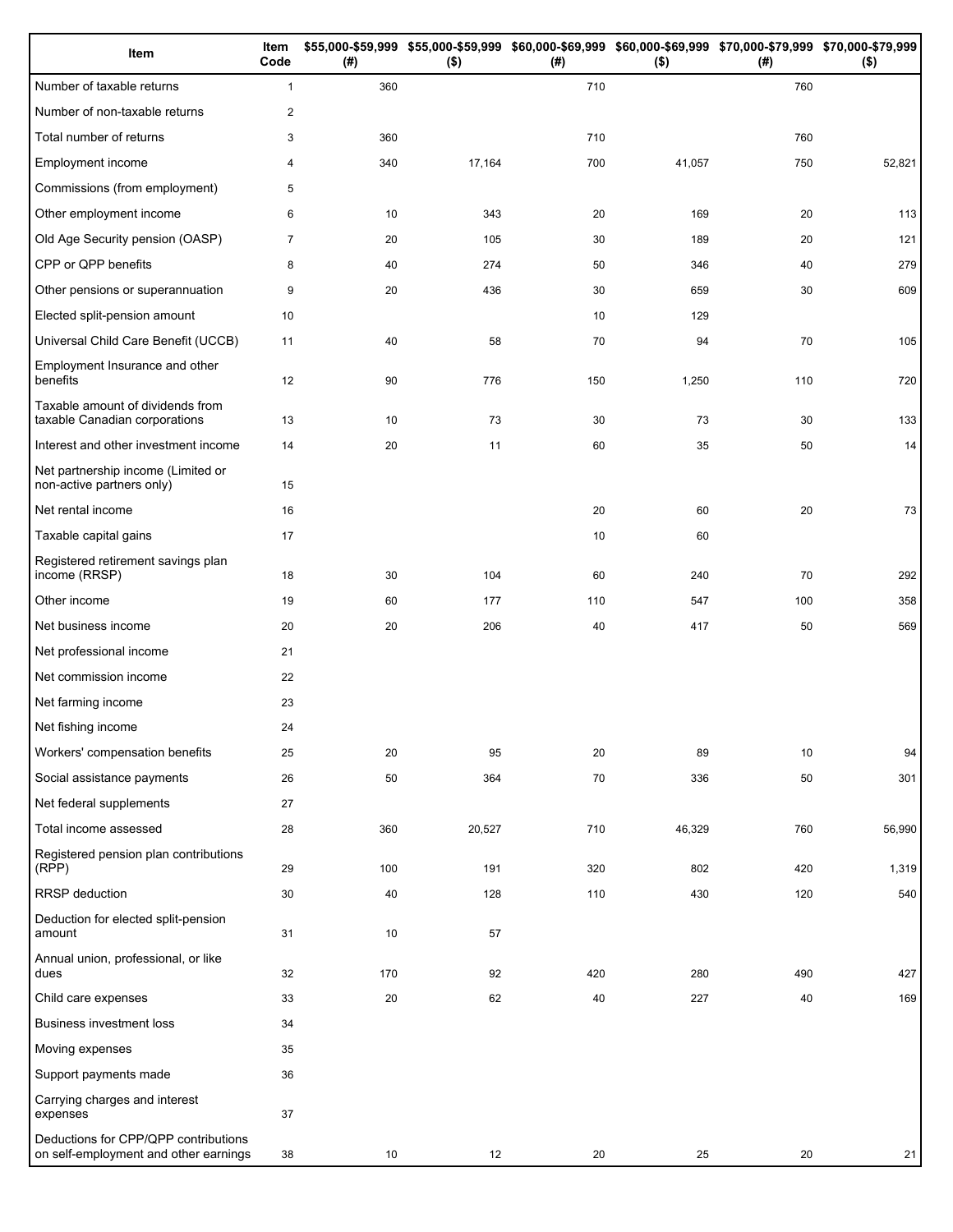| Item                                                                          | Item<br>Code   | (#) | $($ \$) | (#) | \$55,000-\$59,999 \$55,000-\$59,999 \$60,000-\$69,999 \$60,000-\$69,999 \$70,000-\$79,999 \$70,000-\$79,999<br>$($ \$) | (#) | $($ \$) |
|-------------------------------------------------------------------------------|----------------|-----|---------|-----|------------------------------------------------------------------------------------------------------------------------|-----|---------|
| Number of taxable returns                                                     | $\mathbf{1}$   | 360 |         | 710 |                                                                                                                        | 760 |         |
| Number of non-taxable returns                                                 | $\overline{c}$ |     |         |     |                                                                                                                        |     |         |
| Total number of returns                                                       | 3              | 360 |         | 710 |                                                                                                                        | 760 |         |
| Employment income                                                             | 4              | 340 | 17,164  | 700 | 41,057                                                                                                                 | 750 | 52,821  |
| Commissions (from employment)                                                 | 5              |     |         |     |                                                                                                                        |     |         |
| Other employment income                                                       | 6              | 10  | 343     | 20  | 169                                                                                                                    | 20  | 113     |
| Old Age Security pension (OASP)                                               | $\overline{7}$ | 20  | 105     | 30  | 189                                                                                                                    | 20  | 121     |
| CPP or QPP benefits                                                           | 8              | 40  | 274     | 50  | 346                                                                                                                    | 40  | 279     |
| Other pensions or superannuation                                              | 9              | 20  | 436     | 30  | 659                                                                                                                    | 30  | 609     |
| Elected split-pension amount                                                  | 10             |     |         | 10  | 129                                                                                                                    |     |         |
| Universal Child Care Benefit (UCCB)                                           | 11             | 40  | 58      | 70  | 94                                                                                                                     | 70  | 105     |
| Employment Insurance and other<br>benefits                                    | 12             | 90  | 776     | 150 | 1,250                                                                                                                  | 110 | 720     |
| Taxable amount of dividends from<br>taxable Canadian corporations             | 13             | 10  | 73      | 30  | 73                                                                                                                     | 30  | 133     |
| Interest and other investment income                                          | 14             | 20  | 11      | 60  | 35                                                                                                                     | 50  | 14      |
| Net partnership income (Limited or<br>non-active partners only)               | 15             |     |         |     |                                                                                                                        |     |         |
| Net rental income                                                             | 16             |     |         | 20  | 60                                                                                                                     | 20  | 73      |
| Taxable capital gains                                                         | 17             |     |         | 10  | 60                                                                                                                     |     |         |
| Registered retirement savings plan<br>income (RRSP)                           | 18             | 30  | 104     | 60  | 240                                                                                                                    | 70  | 292     |
| Other income                                                                  | 19             | 60  | 177     | 110 | 547                                                                                                                    | 100 | 358     |
| Net business income                                                           | 20             | 20  | 206     | 40  | 417                                                                                                                    | 50  | 569     |
| Net professional income                                                       | 21             |     |         |     |                                                                                                                        |     |         |
| Net commission income                                                         | 22             |     |         |     |                                                                                                                        |     |         |
| Net farming income                                                            | 23             |     |         |     |                                                                                                                        |     |         |
| Net fishing income                                                            | 24             |     |         |     |                                                                                                                        |     |         |
| Workers' compensation benefits                                                | 25             | 20  | 95      | 20  | 89                                                                                                                     | 10  | 94      |
| Social assistance payments                                                    | 26             | 50  | 364     | 70  | 336                                                                                                                    | 50  | 301     |
| Net federal supplements                                                       | 27             |     |         |     |                                                                                                                        |     |         |
| Total income assessed                                                         | 28             | 360 | 20,527  | 710 | 46,329                                                                                                                 | 760 | 56,990  |
| Registered pension plan contributions<br>(RPP)                                | 29             | 100 | 191     | 320 | 802                                                                                                                    | 420 | 1,319   |
| RRSP deduction                                                                | 30             | 40  | 128     | 110 | 430                                                                                                                    | 120 | 540     |
| Deduction for elected split-pension<br>amount                                 | 31             | 10  | 57      |     |                                                                                                                        |     |         |
| Annual union, professional, or like<br>dues                                   | 32             | 170 | 92      | 420 | 280                                                                                                                    | 490 | 427     |
| Child care expenses                                                           | 33             | 20  | 62      | 40  | 227                                                                                                                    | 40  | 169     |
| Business investment loss                                                      | 34             |     |         |     |                                                                                                                        |     |         |
| Moving expenses                                                               | 35             |     |         |     |                                                                                                                        |     |         |
| Support payments made                                                         | 36             |     |         |     |                                                                                                                        |     |         |
| Carrying charges and interest<br>expenses                                     | 37             |     |         |     |                                                                                                                        |     |         |
| Deductions for CPP/QPP contributions<br>on self-employment and other earnings | 38             | 10  | 12      | 20  | 25                                                                                                                     | 20  | 21      |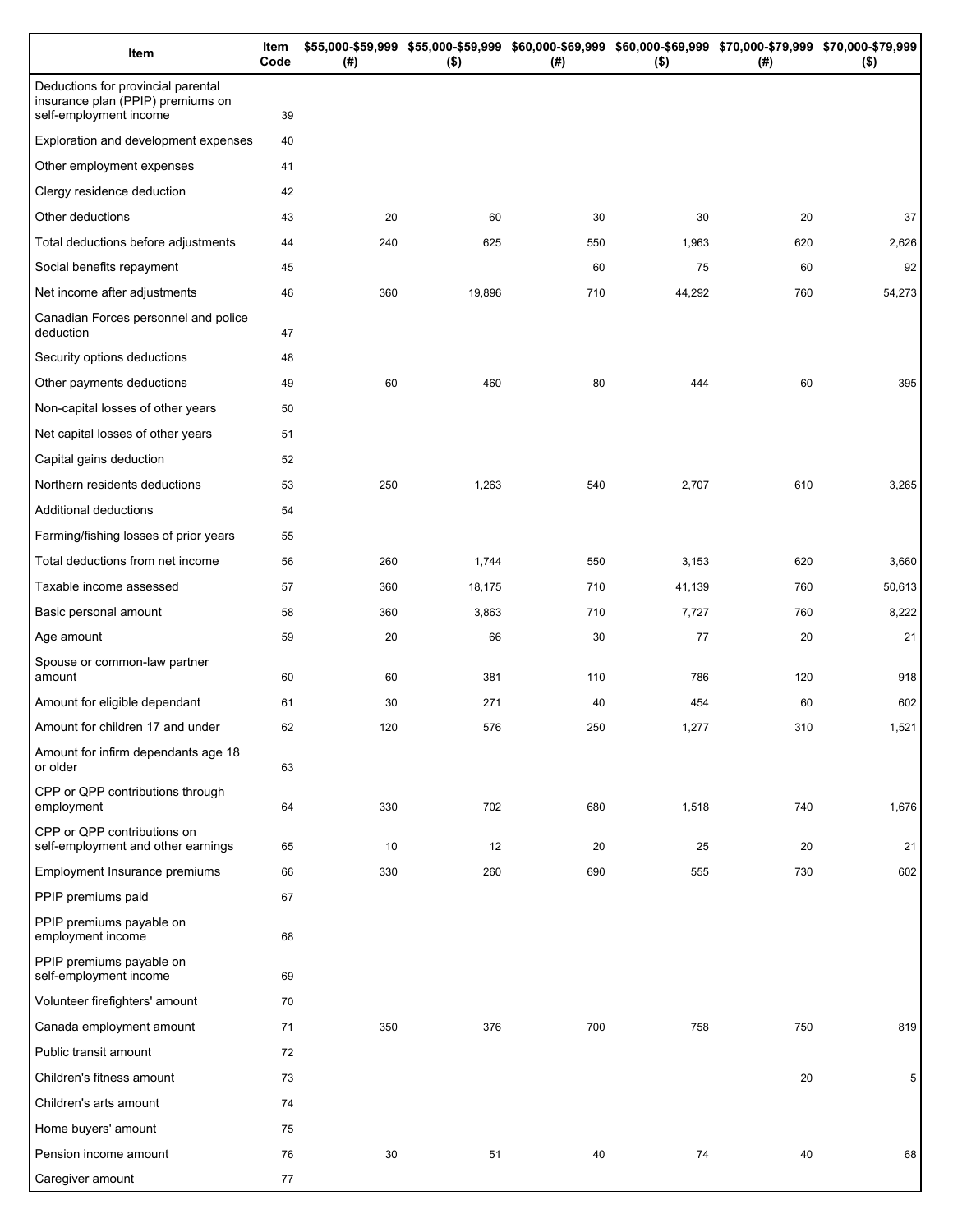| Item                                                                                              | Item<br>Code | (# ) | \$55,000-\$59,999 \$55,000-\$59,999 \$60,000-\$69,999 \$60,000-\$69,999 \$70,000-\$79,999 \$70,000-\$79,999<br>$($ \$) | (# ) | $($ \$) | (#) | $($ \$) |
|---------------------------------------------------------------------------------------------------|--------------|------|------------------------------------------------------------------------------------------------------------------------|------|---------|-----|---------|
| Deductions for provincial parental<br>insurance plan (PPIP) premiums on<br>self-employment income | 39           |      |                                                                                                                        |      |         |     |         |
| Exploration and development expenses                                                              | 40           |      |                                                                                                                        |      |         |     |         |
| Other employment expenses                                                                         | 41           |      |                                                                                                                        |      |         |     |         |
| Clergy residence deduction                                                                        | 42           |      |                                                                                                                        |      |         |     |         |
| Other deductions                                                                                  | 43           | 20   | 60                                                                                                                     | 30   | 30      | 20  | 37      |
| Total deductions before adjustments                                                               | 44           | 240  | 625                                                                                                                    | 550  | 1,963   | 620 | 2,626   |
| Social benefits repayment                                                                         | 45           |      |                                                                                                                        | 60   | 75      | 60  | 92      |
| Net income after adjustments                                                                      | 46           | 360  | 19,896                                                                                                                 | 710  | 44,292  | 760 | 54,273  |
| Canadian Forces personnel and police<br>deduction                                                 | 47           |      |                                                                                                                        |      |         |     |         |
| Security options deductions                                                                       | 48           |      |                                                                                                                        |      |         |     |         |
| Other payments deductions                                                                         | 49           | 60   | 460                                                                                                                    | 80   | 444     | 60  | 395     |
| Non-capital losses of other years                                                                 | 50           |      |                                                                                                                        |      |         |     |         |
| Net capital losses of other years                                                                 | 51           |      |                                                                                                                        |      |         |     |         |
| Capital gains deduction                                                                           | 52           |      |                                                                                                                        |      |         |     |         |
| Northern residents deductions                                                                     | 53           | 250  | 1,263                                                                                                                  | 540  | 2,707   | 610 | 3,265   |
| Additional deductions                                                                             | 54           |      |                                                                                                                        |      |         |     |         |
| Farming/fishing losses of prior years                                                             | 55           |      |                                                                                                                        |      |         |     |         |
| Total deductions from net income                                                                  | 56           | 260  | 1,744                                                                                                                  | 550  | 3,153   | 620 | 3,660   |
| Taxable income assessed                                                                           | 57           | 360  | 18,175                                                                                                                 | 710  | 41,139  | 760 | 50,613  |
| Basic personal amount                                                                             | 58           | 360  | 3,863                                                                                                                  | 710  | 7,727   | 760 | 8,222   |
| Age amount                                                                                        | 59           | 20   | 66                                                                                                                     | 30   | 77      | 20  | 21      |
| Spouse or common-law partner<br>amount                                                            | 60           | 60   | 381                                                                                                                    | 110  | 786     | 120 | 918     |
| Amount for eligible dependant                                                                     | 61           | 30   | 271                                                                                                                    | 40   | 454     | 60  | 602     |
| Amount for children 17 and under                                                                  | 62           | 120  | 576                                                                                                                    | 250  | 1,277   | 310 | 1,521   |
| Amount for infirm dependants age 18<br>or older                                                   | 63           |      |                                                                                                                        |      |         |     |         |
| CPP or QPP contributions through<br>employment                                                    | 64           | 330  | 702                                                                                                                    | 680  | 1,518   | 740 | 1,676   |
| CPP or QPP contributions on<br>self-employment and other earnings                                 | 65           | 10   | 12                                                                                                                     | 20   | 25      | 20  | 21      |
| Employment Insurance premiums                                                                     | 66           | 330  | 260                                                                                                                    | 690  | 555     | 730 | 602     |
| PPIP premiums paid                                                                                | 67           |      |                                                                                                                        |      |         |     |         |
| PPIP premiums payable on<br>employment income                                                     | 68           |      |                                                                                                                        |      |         |     |         |
| PPIP premiums payable on<br>self-employment income                                                | 69           |      |                                                                                                                        |      |         |     |         |
| Volunteer firefighters' amount                                                                    | 70           |      |                                                                                                                        |      |         |     |         |
| Canada employment amount                                                                          | 71           | 350  | 376                                                                                                                    | 700  | 758     | 750 | 819     |
| Public transit amount                                                                             | 72           |      |                                                                                                                        |      |         |     |         |
| Children's fitness amount                                                                         | 73           |      |                                                                                                                        |      |         | 20  | 5       |
| Children's arts amount                                                                            | 74           |      |                                                                                                                        |      |         |     |         |
| Home buyers' amount                                                                               | 75           |      |                                                                                                                        |      |         |     |         |
| Pension income amount                                                                             | 76           | 30   | 51                                                                                                                     | 40   | 74      | 40  | 68      |
| Caregiver amount                                                                                  | 77           |      |                                                                                                                        |      |         |     |         |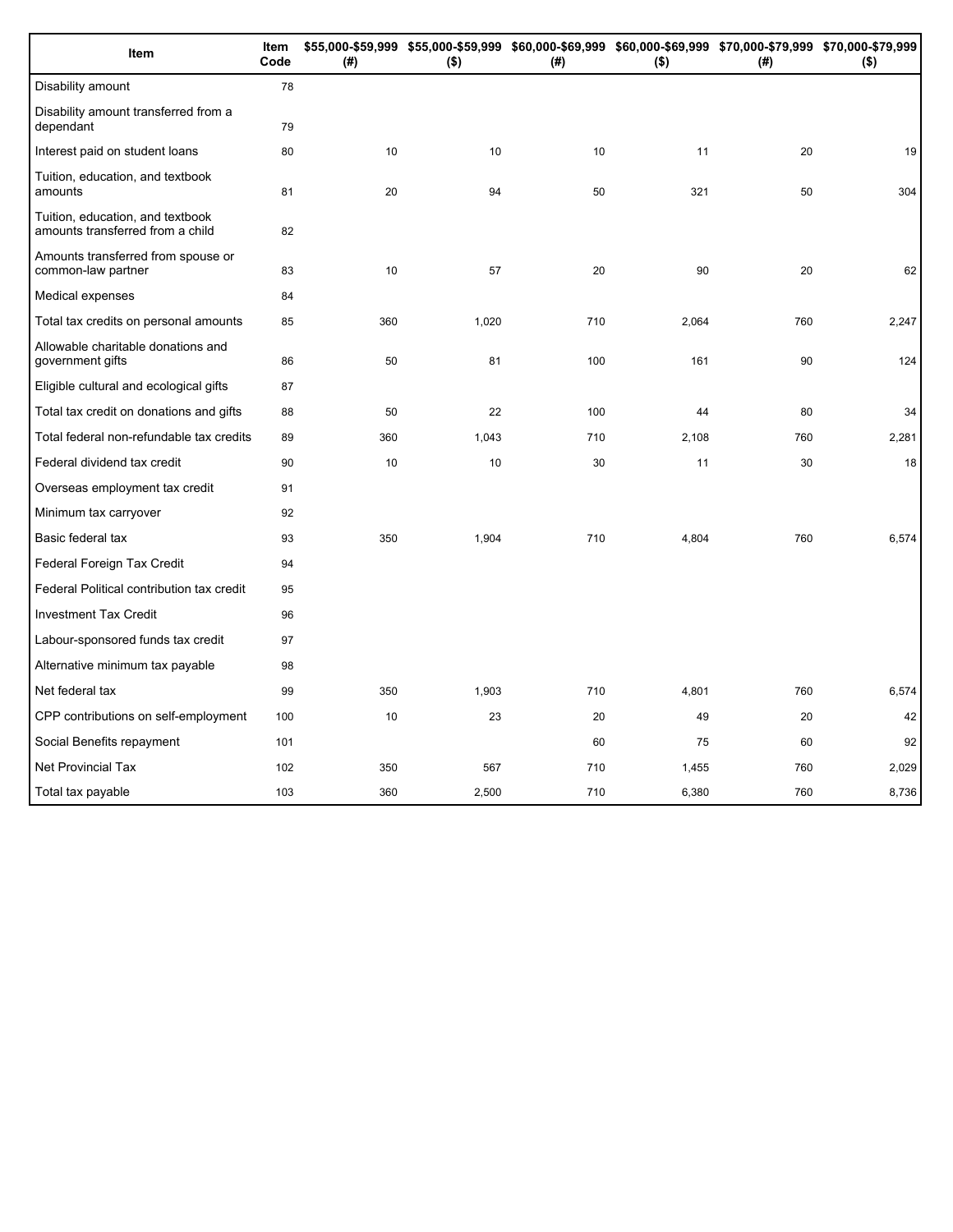| Item                                                                 | Item<br>Code | (# ) | $($ \$) | (#) | \$55,000-\$59,999 \$55,000-\$59,999 \$60,000-\$69,999 \$60,000-\$69,999 \$70,000-\$79,999 \$70,000-\$79,999<br>$($ \$) | (#) | $($ \$) |
|----------------------------------------------------------------------|--------------|------|---------|-----|------------------------------------------------------------------------------------------------------------------------|-----|---------|
| Disability amount                                                    | 78           |      |         |     |                                                                                                                        |     |         |
| Disability amount transferred from a<br>dependant                    | 79           |      |         |     |                                                                                                                        |     |         |
| Interest paid on student loans                                       | 80           | 10   | 10      | 10  | 11                                                                                                                     | 20  | 19      |
| Tuition, education, and textbook<br>amounts                          | 81           | 20   | 94      | 50  | 321                                                                                                                    | 50  | 304     |
| Tuition, education, and textbook<br>amounts transferred from a child | 82           |      |         |     |                                                                                                                        |     |         |
| Amounts transferred from spouse or<br>common-law partner             | 83           | 10   | 57      | 20  | 90                                                                                                                     | 20  | 62      |
| Medical expenses                                                     | 84           |      |         |     |                                                                                                                        |     |         |
| Total tax credits on personal amounts                                | 85           | 360  | 1,020   | 710 | 2,064                                                                                                                  | 760 | 2,247   |
| Allowable charitable donations and<br>government gifts               | 86           | 50   | 81      | 100 | 161                                                                                                                    | 90  | 124     |
| Eligible cultural and ecological gifts                               | 87           |      |         |     |                                                                                                                        |     |         |
| Total tax credit on donations and gifts                              | 88           | 50   | 22      | 100 | 44                                                                                                                     | 80  | 34      |
| Total federal non-refundable tax credits                             | 89           | 360  | 1,043   | 710 | 2,108                                                                                                                  | 760 | 2,281   |
| Federal dividend tax credit                                          | 90           | 10   | 10      | 30  | 11                                                                                                                     | 30  | 18      |
| Overseas employment tax credit                                       | 91           |      |         |     |                                                                                                                        |     |         |
| Minimum tax carryover                                                | 92           |      |         |     |                                                                                                                        |     |         |
| Basic federal tax                                                    | 93           | 350  | 1,904   | 710 | 4,804                                                                                                                  | 760 | 6,574   |
| Federal Foreign Tax Credit                                           | 94           |      |         |     |                                                                                                                        |     |         |
| Federal Political contribution tax credit                            | 95           |      |         |     |                                                                                                                        |     |         |
| <b>Investment Tax Credit</b>                                         | 96           |      |         |     |                                                                                                                        |     |         |
| Labour-sponsored funds tax credit                                    | 97           |      |         |     |                                                                                                                        |     |         |
| Alternative minimum tax payable                                      | 98           |      |         |     |                                                                                                                        |     |         |
| Net federal tax                                                      | 99           | 350  | 1,903   | 710 | 4,801                                                                                                                  | 760 | 6,574   |
| CPP contributions on self-employment                                 | 100          | 10   | 23      | 20  | 49                                                                                                                     | 20  | 42      |
| Social Benefits repayment                                            | 101          |      |         | 60  | 75                                                                                                                     | 60  | 92      |
| <b>Net Provincial Tax</b>                                            | 102          | 350  | 567     | 710 | 1,455                                                                                                                  | 760 | 2,029   |
| Total tax payable                                                    | 103          | 360  | 2,500   | 710 | 6,380                                                                                                                  | 760 | 8,736   |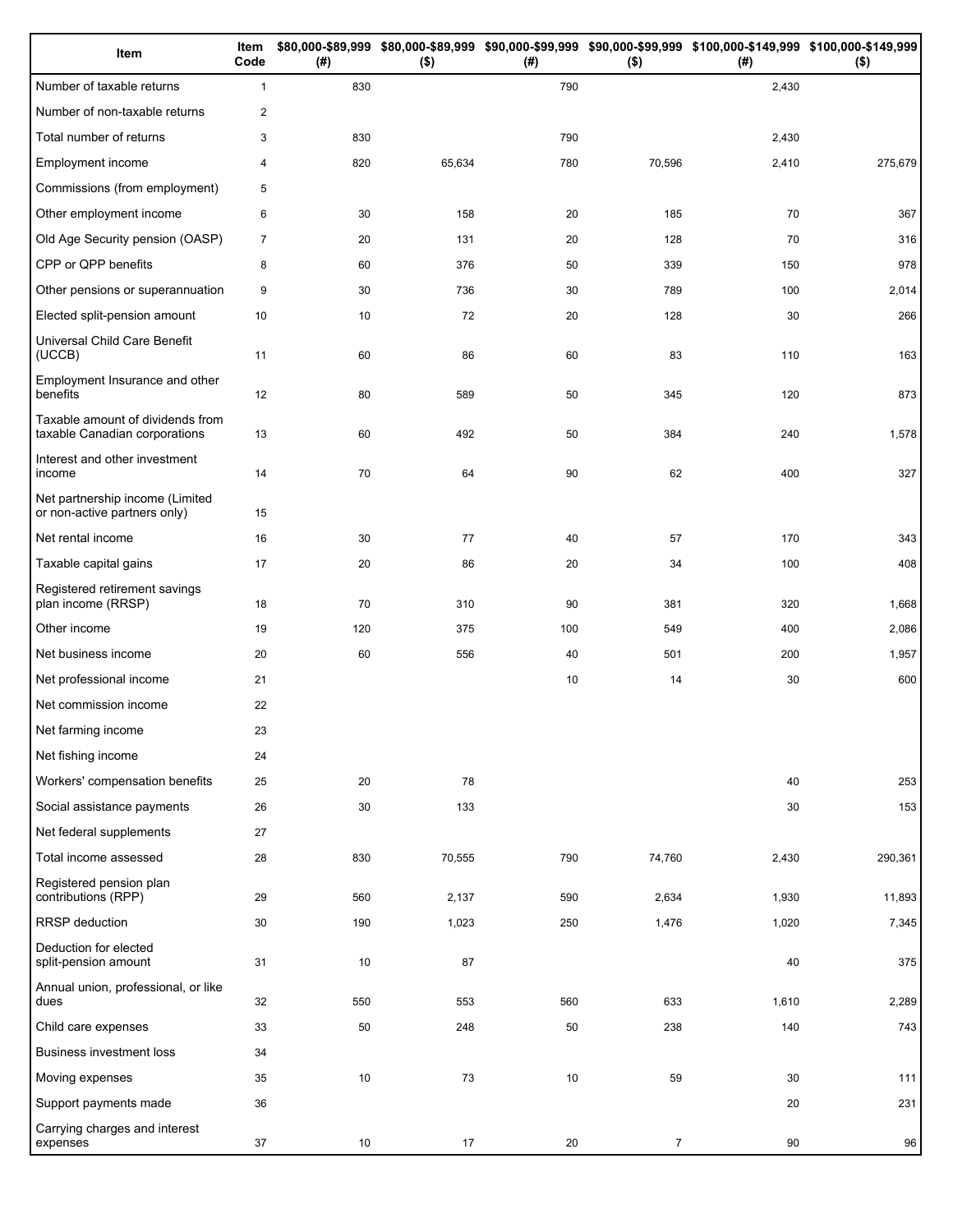| Item                                                              | Item<br>Code   | (# ) | $($ \$) | (# ) | $($ \$)        | \$80,000-\$89,999 \$80,000-\$89,999 \$90,000-\$99,999 \$90,000-\$99,999 \$100,000-\$149,999 \$100,000-\$149,999<br>(#) | $($ \$) |
|-------------------------------------------------------------------|----------------|------|---------|------|----------------|------------------------------------------------------------------------------------------------------------------------|---------|
| Number of taxable returns                                         | $\mathbf{1}$   | 830  |         | 790  |                | 2,430                                                                                                                  |         |
| Number of non-taxable returns                                     | 2              |      |         |      |                |                                                                                                                        |         |
| Total number of returns                                           | 3              | 830  |         | 790  |                | 2,430                                                                                                                  |         |
| Employment income                                                 | $\overline{4}$ | 820  | 65,634  | 780  | 70,596         | 2,410                                                                                                                  | 275,679 |
| Commissions (from employment)                                     | 5              |      |         |      |                |                                                                                                                        |         |
| Other employment income                                           | 6              | 30   | 158     | 20   | 185            | 70                                                                                                                     | 367     |
| Old Age Security pension (OASP)                                   | $\overline{7}$ | 20   | 131     | 20   | 128            | 70                                                                                                                     | 316     |
| CPP or QPP benefits                                               | 8              | 60   | 376     | 50   | 339            | 150                                                                                                                    | 978     |
| Other pensions or superannuation                                  | 9              | 30   | 736     | 30   | 789            | 100                                                                                                                    | 2,014   |
| Elected split-pension amount                                      | 10             | 10   | 72      | 20   | 128            | 30                                                                                                                     | 266     |
| Universal Child Care Benefit<br>(UCCB)                            | 11             | 60   | 86      | 60   | 83             | 110                                                                                                                    | 163     |
| Employment Insurance and other<br>benefits                        | 12             | 80   | 589     | 50   | 345            | 120                                                                                                                    | 873     |
| Taxable amount of dividends from<br>taxable Canadian corporations | 13             | 60   | 492     | 50   | 384            | 240                                                                                                                    | 1,578   |
| Interest and other investment<br>income                           | 14             | 70   | 64      | 90   | 62             | 400                                                                                                                    | 327     |
| Net partnership income (Limited<br>or non-active partners only)   | 15             |      |         |      |                |                                                                                                                        |         |
| Net rental income                                                 | 16             | 30   | 77      | 40   | 57             | 170                                                                                                                    | 343     |
| Taxable capital gains                                             | 17             | 20   | 86      | 20   | 34             | 100                                                                                                                    | 408     |
| Registered retirement savings<br>plan income (RRSP)               | 18             | 70   | 310     | 90   | 381            | 320                                                                                                                    | 1,668   |
| Other income                                                      | 19             | 120  | 375     | 100  | 549            | 400                                                                                                                    | 2,086   |
| Net business income                                               | 20             | 60   | 556     | 40   | 501            | 200                                                                                                                    | 1,957   |
| Net professional income                                           | 21             |      |         | 10   | 14             | 30                                                                                                                     | 600     |
| Net commission income                                             | 22             |      |         |      |                |                                                                                                                        |         |
| Net farming income                                                | 23             |      |         |      |                |                                                                                                                        |         |
| Net fishing income                                                | 24             |      |         |      |                |                                                                                                                        |         |
| Workers' compensation benefits                                    | 25             | 20   | 78      |      |                | 40                                                                                                                     | 253     |
| Social assistance payments                                        | 26             | 30   | 133     |      |                | 30                                                                                                                     | 153     |
| Net federal supplements                                           | 27             |      |         |      |                |                                                                                                                        |         |
| Total income assessed                                             | 28             | 830  | 70,555  | 790  | 74,760         | 2,430                                                                                                                  | 290,361 |
| Registered pension plan<br>contributions (RPP)                    | 29             | 560  | 2,137   | 590  | 2,634          | 1,930                                                                                                                  | 11,893  |
| RRSP deduction                                                    | 30             | 190  | 1,023   | 250  | 1,476          | 1,020                                                                                                                  | 7,345   |
| Deduction for elected<br>split-pension amount                     | 31             | 10   | 87      |      |                | 40                                                                                                                     | 375     |
| Annual union, professional, or like<br>dues                       | 32             | 550  | 553     | 560  | 633            | 1,610                                                                                                                  | 2,289   |
| Child care expenses                                               | 33             | 50   | 248     | 50   | 238            | 140                                                                                                                    | 743     |
| Business investment loss                                          | 34             |      |         |      |                |                                                                                                                        |         |
| Moving expenses                                                   | 35             | 10   | 73      | 10   | 59             | 30                                                                                                                     | 111     |
| Support payments made                                             | 36             |      |         |      |                | 20                                                                                                                     | 231     |
| Carrying charges and interest<br>expenses                         | 37             | 10   | 17      | 20   | $\overline{7}$ | 90                                                                                                                     | 96      |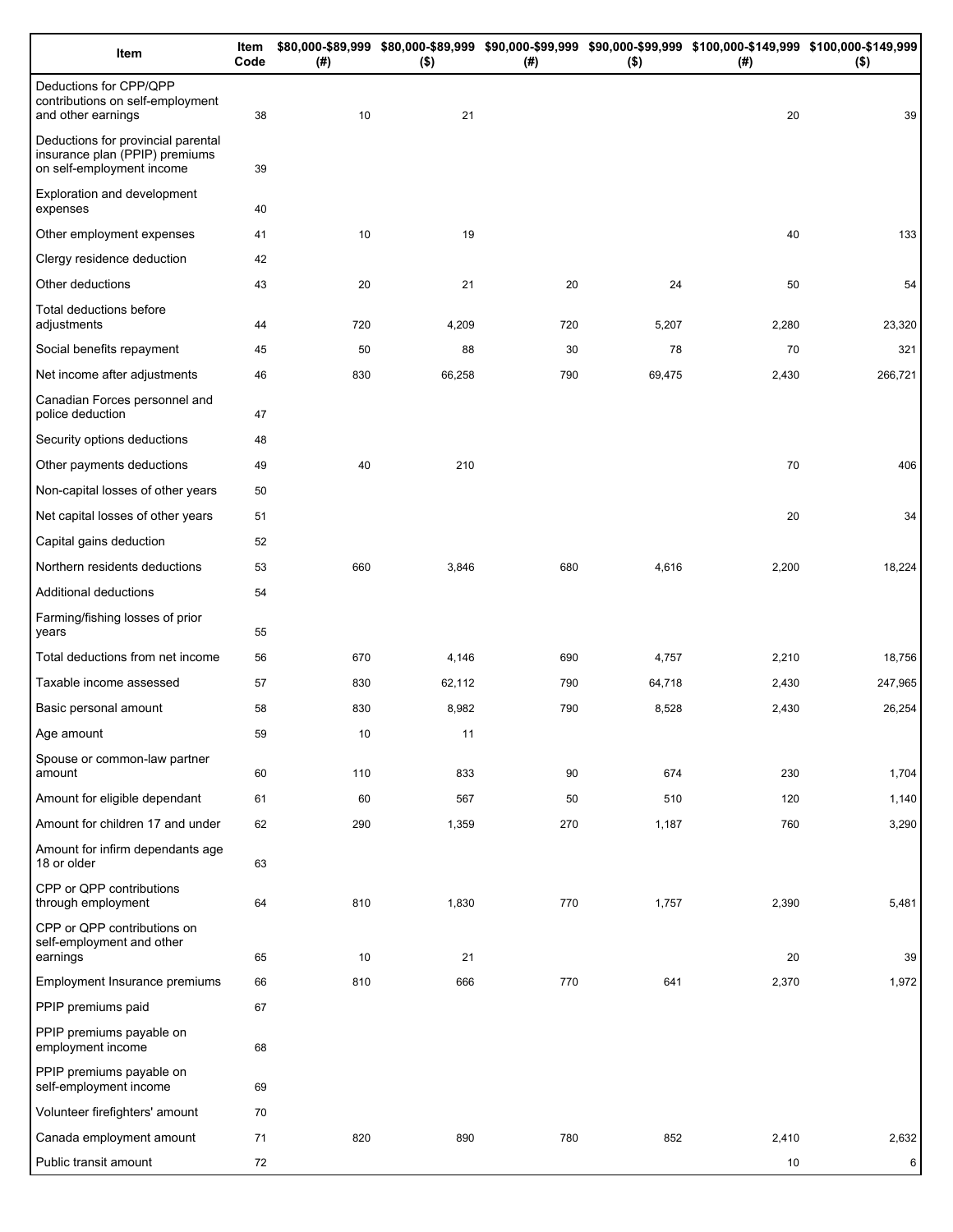| Item                                                                                              | Item<br>Code | (#) | $($ \$) | (# ) | $($ \$) | \$80,000-\$89,999 \$80,000-\$89,999 \$90,000-\$99,999 \$90,000-\$99,999 \$100,000-\$149,999 \$100,000-\$149,999<br>(#) | $($ \$) |
|---------------------------------------------------------------------------------------------------|--------------|-----|---------|------|---------|------------------------------------------------------------------------------------------------------------------------|---------|
| Deductions for CPP/QPP<br>contributions on self-employment<br>and other earnings                  | 38           | 10  | 21      |      |         | 20                                                                                                                     | 39      |
| Deductions for provincial parental<br>insurance plan (PPIP) premiums<br>on self-employment income | 39           |     |         |      |         |                                                                                                                        |         |
| Exploration and development<br>expenses                                                           | 40           |     |         |      |         |                                                                                                                        |         |
| Other employment expenses                                                                         | 41           | 10  | 19      |      |         | 40                                                                                                                     | 133     |
| Clergy residence deduction                                                                        | 42           |     |         |      |         |                                                                                                                        |         |
| Other deductions                                                                                  | 43           | 20  | 21      | 20   | 24      | 50                                                                                                                     | 54      |
| Total deductions before<br>adjustments                                                            | 44           | 720 | 4,209   | 720  | 5,207   | 2,280                                                                                                                  | 23,320  |
| Social benefits repayment                                                                         | 45           | 50  | 88      | 30   | 78      | 70                                                                                                                     | 321     |
| Net income after adjustments                                                                      | 46           | 830 | 66,258  | 790  | 69,475  | 2,430                                                                                                                  | 266,721 |
| Canadian Forces personnel and<br>police deduction                                                 | 47           |     |         |      |         |                                                                                                                        |         |
| Security options deductions                                                                       | 48           |     |         |      |         |                                                                                                                        |         |
| Other payments deductions                                                                         | 49           | 40  | 210     |      |         | 70                                                                                                                     | 406     |
| Non-capital losses of other years                                                                 | 50           |     |         |      |         |                                                                                                                        |         |
| Net capital losses of other years                                                                 | 51           |     |         |      |         | 20                                                                                                                     | 34      |
| Capital gains deduction                                                                           | 52           |     |         |      |         |                                                                                                                        |         |
| Northern residents deductions                                                                     | 53           | 660 | 3,846   | 680  | 4,616   | 2,200                                                                                                                  | 18,224  |
| Additional deductions                                                                             | 54           |     |         |      |         |                                                                                                                        |         |
| Farming/fishing losses of prior<br>years                                                          | 55           |     |         |      |         |                                                                                                                        |         |
| Total deductions from net income                                                                  | 56           | 670 | 4,146   | 690  | 4,757   | 2,210                                                                                                                  | 18,756  |
| Taxable income assessed                                                                           | 57           | 830 | 62,112  | 790  | 64,718  | 2,430                                                                                                                  | 247,965 |
| Basic personal amount                                                                             | 58           | 830 | 8,982   | 790  | 8,528   | 2,430                                                                                                                  | 26,254  |
| Age amount                                                                                        | 59           | 10  | 11      |      |         |                                                                                                                        |         |
| Spouse or common-law partner<br>amount                                                            | 60           | 110 | 833     | 90   | 674     | 230                                                                                                                    | 1,704   |
| Amount for eligible dependant                                                                     | 61           | 60  | 567     | 50   | 510     | 120                                                                                                                    | 1,140   |
| Amount for children 17 and under                                                                  | 62           | 290 | 1,359   | 270  | 1,187   | 760                                                                                                                    | 3,290   |
| Amount for infirm dependants age<br>18 or older                                                   | 63           |     |         |      |         |                                                                                                                        |         |
| CPP or QPP contributions<br>through employment                                                    | 64           | 810 | 1,830   | 770  | 1,757   | 2,390                                                                                                                  | 5,481   |
| CPP or QPP contributions on<br>self-employment and other<br>earnings                              | 65           | 10  | 21      |      |         | 20                                                                                                                     | 39      |
| Employment Insurance premiums                                                                     | 66           | 810 | 666     | 770  | 641     | 2,370                                                                                                                  | 1,972   |
| PPIP premiums paid                                                                                | 67           |     |         |      |         |                                                                                                                        |         |
| PPIP premiums payable on<br>employment income                                                     | 68           |     |         |      |         |                                                                                                                        |         |
| PPIP premiums payable on                                                                          | 69           |     |         |      |         |                                                                                                                        |         |
| self-employment income                                                                            |              |     |         |      |         |                                                                                                                        |         |
| Volunteer firefighters' amount<br>Canada employment amount                                        | 70<br>71     | 820 | 890     | 780  | 852     | 2,410                                                                                                                  | 2,632   |
| Public transit amount                                                                             | 72           |     |         |      |         | 10                                                                                                                     | 6       |
|                                                                                                   |              |     |         |      |         |                                                                                                                        |         |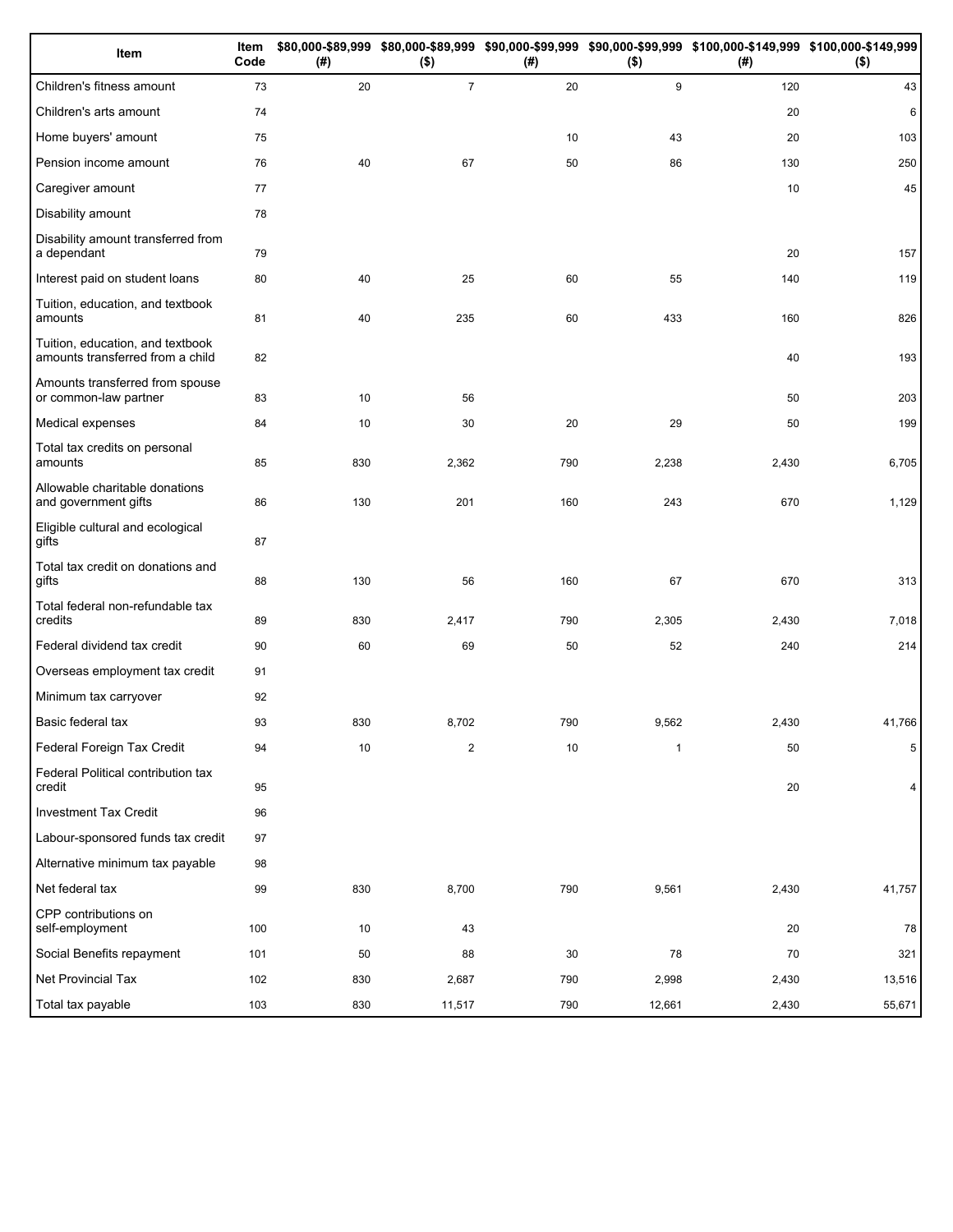| Item                                                                 | Item<br>Code | (#) | $($ \$)        | (#) | $($ \$)      | \$80,000-\$89,999 \$80,000-\$89,999 \$90,000-\$99,999 \$90,000-\$99,999 \$100,000-\$149,999 \$100,000-\$149,999<br>(#) | $($ \$) |
|----------------------------------------------------------------------|--------------|-----|----------------|-----|--------------|------------------------------------------------------------------------------------------------------------------------|---------|
| Children's fitness amount                                            | 73           | 20  | $\overline{7}$ | 20  | 9            | 120                                                                                                                    | 43      |
| Children's arts amount                                               | 74           |     |                |     |              | 20                                                                                                                     | 6       |
| Home buyers' amount                                                  | 75           |     |                | 10  | 43           | 20                                                                                                                     | 103     |
| Pension income amount                                                | 76           | 40  | 67             | 50  | 86           | 130                                                                                                                    | 250     |
| Caregiver amount                                                     | 77           |     |                |     |              | 10                                                                                                                     | 45      |
| Disability amount                                                    | 78           |     |                |     |              |                                                                                                                        |         |
| Disability amount transferred from<br>a dependant                    | 79           |     |                |     |              | 20                                                                                                                     | 157     |
| Interest paid on student loans                                       | 80           | 40  | 25             | 60  | 55           | 140                                                                                                                    | 119     |
| Tuition, education, and textbook<br>amounts                          | 81           | 40  | 235            | 60  | 433          | 160                                                                                                                    | 826     |
| Tuition, education, and textbook<br>amounts transferred from a child | 82           |     |                |     |              | 40                                                                                                                     | 193     |
| Amounts transferred from spouse<br>or common-law partner             | 83           | 10  | 56             |     |              | 50                                                                                                                     | 203     |
| Medical expenses                                                     | 84           | 10  | 30             | 20  | 29           | 50                                                                                                                     | 199     |
| Total tax credits on personal<br>amounts                             | 85           | 830 | 2,362          | 790 | 2,238        | 2,430                                                                                                                  | 6,705   |
| Allowable charitable donations<br>and government gifts               | 86           | 130 | 201            | 160 | 243          | 670                                                                                                                    | 1,129   |
| Eligible cultural and ecological<br>gifts                            | 87           |     |                |     |              |                                                                                                                        |         |
| Total tax credit on donations and<br>gifts                           | 88           | 130 | 56             | 160 | 67           | 670                                                                                                                    | 313     |
| Total federal non-refundable tax<br>credits                          | 89           | 830 | 2,417          | 790 | 2,305        | 2,430                                                                                                                  | 7,018   |
| Federal dividend tax credit                                          | 90           | 60  | 69             | 50  | 52           | 240                                                                                                                    | 214     |
| Overseas employment tax credit                                       | 91           |     |                |     |              |                                                                                                                        |         |
| Minimum tax carryover                                                | 92           |     |                |     |              |                                                                                                                        |         |
| Basic federal tax                                                    | 93           | 830 | 8,702          | 790 | 9,562        | 2,430                                                                                                                  | 41,766  |
| Federal Foreign Tax Credit                                           | 94           | 10  | $\overline{c}$ | 10  | $\mathbf{1}$ | 50                                                                                                                     | 5       |
| Federal Political contribution tax<br>credit                         | 95           |     |                |     |              | 20                                                                                                                     | 4       |
| <b>Investment Tax Credit</b>                                         | 96           |     |                |     |              |                                                                                                                        |         |
| Labour-sponsored funds tax credit                                    | 97           |     |                |     |              |                                                                                                                        |         |
| Alternative minimum tax payable                                      | 98           |     |                |     |              |                                                                                                                        |         |
| Net federal tax                                                      | 99           | 830 | 8,700          | 790 | 9,561        | 2,430                                                                                                                  | 41,757  |
| CPP contributions on<br>self-employment                              | 100          | 10  | 43             |     |              | 20                                                                                                                     | 78      |
| Social Benefits repayment                                            | 101          | 50  | 88             | 30  | 78           | 70                                                                                                                     | 321     |
| Net Provincial Tax                                                   | 102          | 830 | 2,687          | 790 | 2,998        | 2,430                                                                                                                  | 13,516  |
| Total tax payable                                                    | 103          | 830 | 11,517         | 790 | 12,661       | 2,430                                                                                                                  | 55,671  |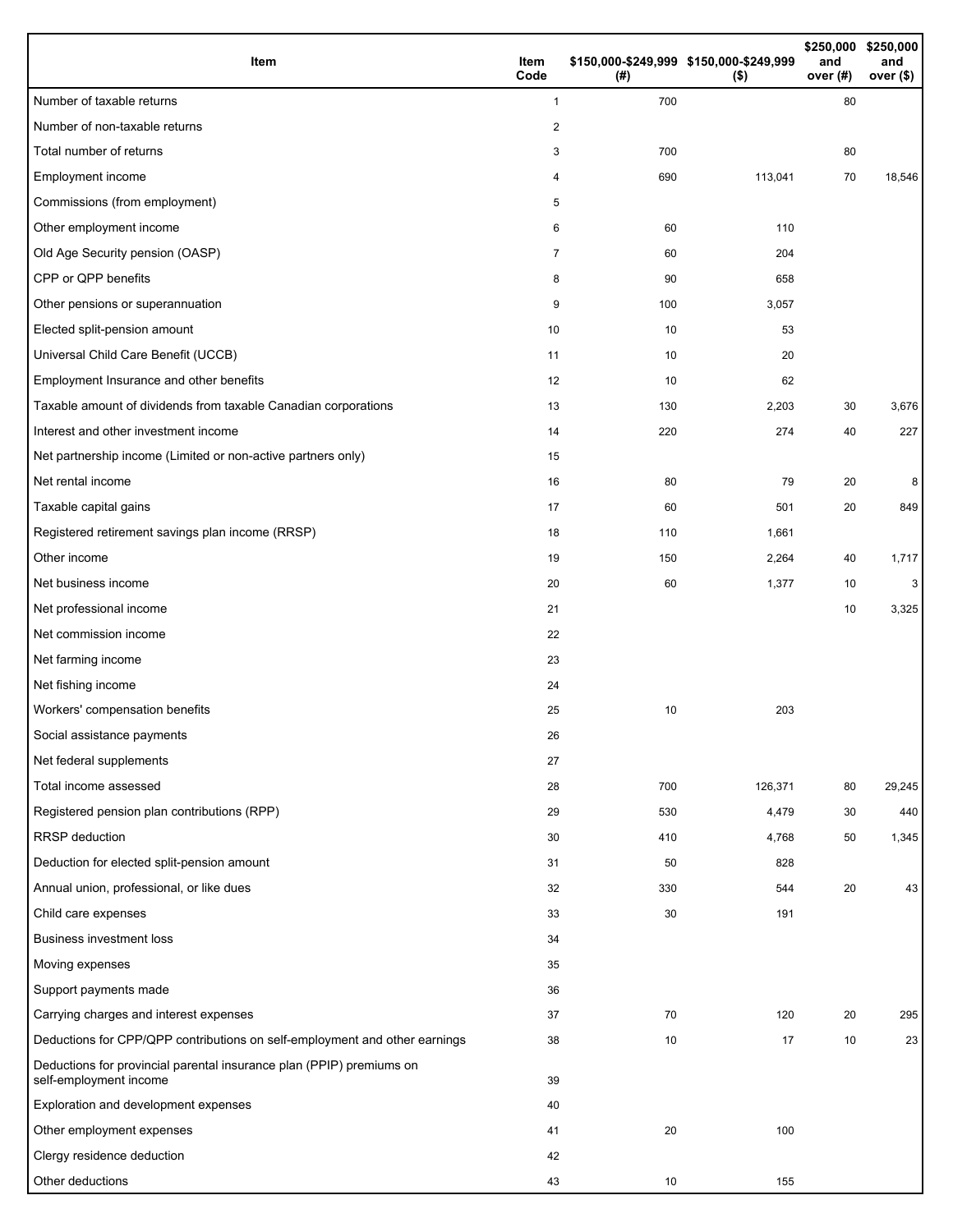| Item                                                                                           | Item<br>Code   | (#) | \$150,000-\$249,999 \$150,000-\$249,999<br>$($ \$) | and<br>over (#) | \$250,000 \$250,000<br>and<br>over $($)$ |
|------------------------------------------------------------------------------------------------|----------------|-----|----------------------------------------------------|-----------------|------------------------------------------|
| Number of taxable returns                                                                      | $\mathbf{1}$   | 700 |                                                    | 80              |                                          |
| Number of non-taxable returns                                                                  | 2              |     |                                                    |                 |                                          |
| Total number of returns                                                                        | 3              | 700 |                                                    | 80              |                                          |
| Employment income                                                                              | 4              | 690 | 113,041                                            | 70              | 18,546                                   |
| Commissions (from employment)                                                                  | 5              |     |                                                    |                 |                                          |
| Other employment income                                                                        | 6              | 60  | 110                                                |                 |                                          |
| Old Age Security pension (OASP)                                                                | $\overline{7}$ | 60  | 204                                                |                 |                                          |
| CPP or QPP benefits                                                                            | 8              | 90  | 658                                                |                 |                                          |
| Other pensions or superannuation                                                               | 9              | 100 | 3,057                                              |                 |                                          |
| Elected split-pension amount                                                                   | 10             | 10  | 53                                                 |                 |                                          |
| Universal Child Care Benefit (UCCB)                                                            | 11             | 10  | 20                                                 |                 |                                          |
| Employment Insurance and other benefits                                                        | 12             | 10  | 62                                                 |                 |                                          |
| Taxable amount of dividends from taxable Canadian corporations                                 | 13             | 130 | 2,203                                              | 30              | 3,676                                    |
| Interest and other investment income                                                           | 14             | 220 | 274                                                | 40              | 227                                      |
| Net partnership income (Limited or non-active partners only)                                   | 15             |     |                                                    |                 |                                          |
| Net rental income                                                                              | 16             | 80  | 79                                                 | 20              | 8                                        |
| Taxable capital gains                                                                          | 17             | 60  | 501                                                | 20              | 849                                      |
| Registered retirement savings plan income (RRSP)                                               | 18             | 110 | 1,661                                              |                 |                                          |
| Other income                                                                                   | 19             | 150 | 2,264                                              | 40              | 1,717                                    |
| Net business income                                                                            | 20             | 60  | 1,377                                              | 10              | 3                                        |
| Net professional income                                                                        | 21             |     |                                                    | 10              | 3,325                                    |
| Net commission income                                                                          | 22             |     |                                                    |                 |                                          |
| Net farming income                                                                             | 23             |     |                                                    |                 |                                          |
| Net fishing income                                                                             | 24             |     |                                                    |                 |                                          |
| Workers' compensation benefits                                                                 | 25             | 10  | 203                                                |                 |                                          |
| Social assistance payments                                                                     | 26             |     |                                                    |                 |                                          |
| Net federal supplements                                                                        | 27             |     |                                                    |                 |                                          |
| Total income assessed                                                                          | 28             | 700 | 126,371                                            | 80              | 29,245                                   |
| Registered pension plan contributions (RPP)                                                    | 29             | 530 | 4,479                                              | 30              | 440                                      |
| <b>RRSP</b> deduction                                                                          | 30             | 410 | 4,768                                              | 50              | 1,345                                    |
| Deduction for elected split-pension amount                                                     | 31             | 50  | 828                                                |                 |                                          |
| Annual union, professional, or like dues                                                       | 32             | 330 | 544                                                | 20              | 43                                       |
| Child care expenses                                                                            | 33             | 30  | 191                                                |                 |                                          |
| <b>Business investment loss</b>                                                                | 34             |     |                                                    |                 |                                          |
| Moving expenses                                                                                | 35             |     |                                                    |                 |                                          |
| Support payments made                                                                          | 36             |     |                                                    |                 |                                          |
| Carrying charges and interest expenses                                                         | 37             | 70  | 120                                                | 20              | 295                                      |
| Deductions for CPP/QPP contributions on self-employment and other earnings                     | 38             | 10  | 17                                                 | 10              | 23                                       |
| Deductions for provincial parental insurance plan (PPIP) premiums on<br>self-employment income | 39             |     |                                                    |                 |                                          |
| Exploration and development expenses                                                           | 40             |     |                                                    |                 |                                          |
| Other employment expenses                                                                      | 41             | 20  | 100                                                |                 |                                          |
| Clergy residence deduction                                                                     | 42             |     |                                                    |                 |                                          |
| Other deductions                                                                               | 43             | 10  | 155                                                |                 |                                          |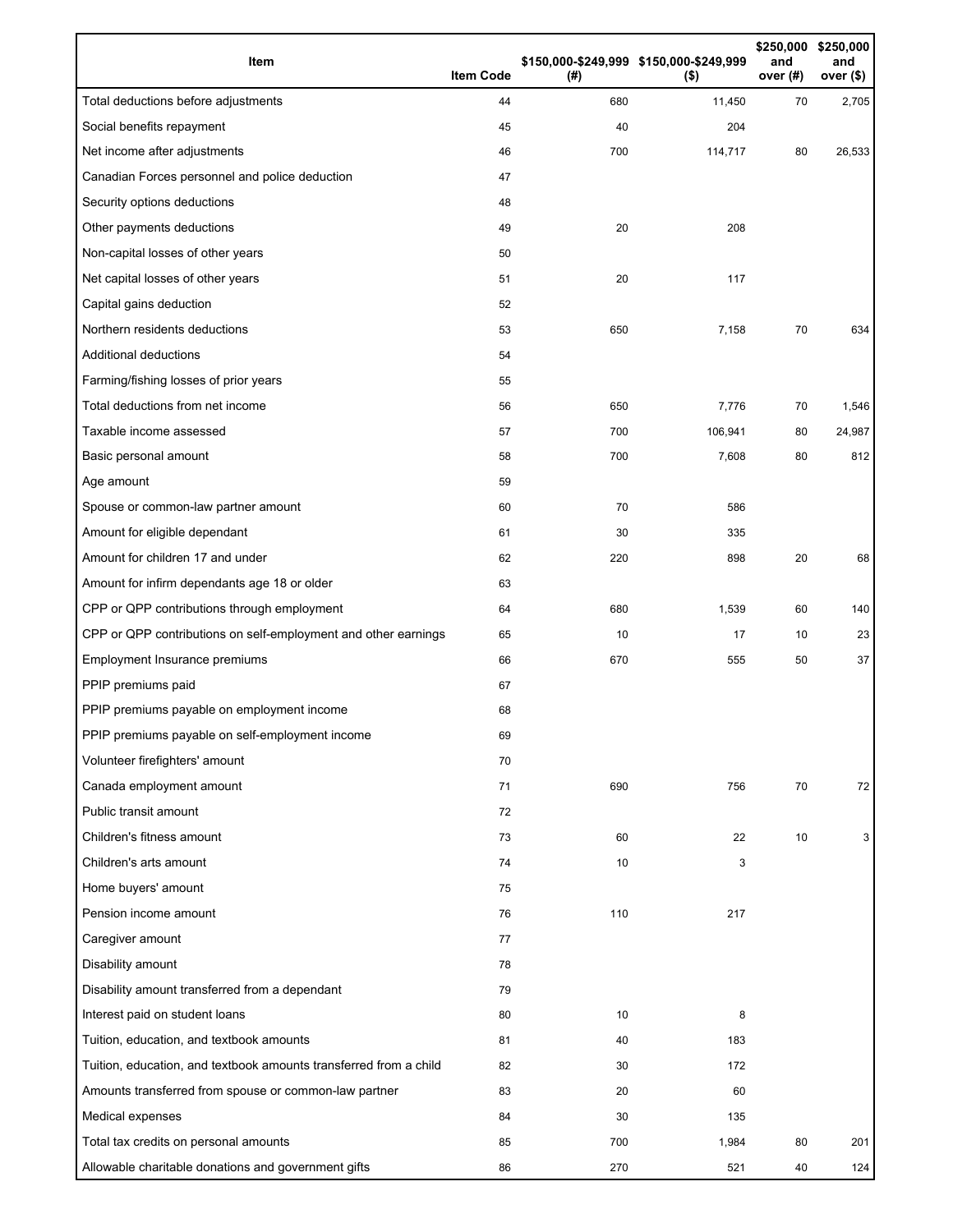| Item                                                              | <b>Item Code</b> | (#) | \$150,000-\$249,999 \$150,000-\$249,999<br>$($ \$) | \$250,000<br>and<br>over (#) | \$250,000<br>and<br>over $($)$ |
|-------------------------------------------------------------------|------------------|-----|----------------------------------------------------|------------------------------|--------------------------------|
| Total deductions before adjustments                               | 44               | 680 | 11,450                                             | 70                           | 2,705                          |
| Social benefits repayment                                         | 45               | 40  | 204                                                |                              |                                |
| Net income after adjustments                                      | 46               | 700 | 114,717                                            | 80                           | 26,533                         |
| Canadian Forces personnel and police deduction                    | 47               |     |                                                    |                              |                                |
| Security options deductions                                       | 48               |     |                                                    |                              |                                |
| Other payments deductions                                         | 49               | 20  | 208                                                |                              |                                |
| Non-capital losses of other years                                 | 50               |     |                                                    |                              |                                |
| Net capital losses of other years                                 | 51               | 20  | 117                                                |                              |                                |
| Capital gains deduction                                           | 52               |     |                                                    |                              |                                |
| Northern residents deductions                                     | 53               | 650 | 7,158                                              | 70                           | 634                            |
| Additional deductions                                             | 54               |     |                                                    |                              |                                |
| Farming/fishing losses of prior years                             | 55               |     |                                                    |                              |                                |
| Total deductions from net income                                  | 56               | 650 | 7,776                                              | 70                           | 1,546                          |
| Taxable income assessed                                           | 57               | 700 | 106,941                                            | 80                           | 24,987                         |
| Basic personal amount                                             | 58               | 700 | 7,608                                              | 80                           | 812                            |
| Age amount                                                        | 59               |     |                                                    |                              |                                |
| Spouse or common-law partner amount                               | 60               | 70  | 586                                                |                              |                                |
| Amount for eligible dependant                                     | 61               | 30  | 335                                                |                              |                                |
| Amount for children 17 and under                                  | 62               | 220 | 898                                                | 20                           | 68                             |
| Amount for infirm dependants age 18 or older                      | 63               |     |                                                    |                              |                                |
| CPP or QPP contributions through employment                       | 64               | 680 | 1,539                                              | 60                           | 140                            |
| CPP or QPP contributions on self-employment and other earnings    | 65               | 10  | 17                                                 | 10                           | 23                             |
| Employment Insurance premiums                                     | 66               | 670 | 555                                                | 50                           | 37                             |
| PPIP premiums paid                                                | 67               |     |                                                    |                              |                                |
| PPIP premiums payable on employment income                        | 68               |     |                                                    |                              |                                |
| PPIP premiums payable on self-employment income                   | 69               |     |                                                    |                              |                                |
| Volunteer firefighters' amount                                    | 70               |     |                                                    |                              |                                |
| Canada employment amount                                          | 71               | 690 | 756                                                | 70                           | 72                             |
| Public transit amount                                             | 72               |     |                                                    |                              |                                |
| Children's fitness amount                                         | 73               | 60  | 22                                                 | 10                           | 3                              |
| Children's arts amount                                            | 74               | 10  | 3                                                  |                              |                                |
| Home buyers' amount                                               | 75               |     |                                                    |                              |                                |
| Pension income amount                                             | 76               | 110 | 217                                                |                              |                                |
| Caregiver amount                                                  | 77               |     |                                                    |                              |                                |
| Disability amount                                                 | 78               |     |                                                    |                              |                                |
| Disability amount transferred from a dependant                    | 79               |     |                                                    |                              |                                |
| Interest paid on student loans                                    | 80               | 10  | 8                                                  |                              |                                |
| Tuition, education, and textbook amounts                          | 81               | 40  | 183                                                |                              |                                |
| Tuition, education, and textbook amounts transferred from a child | 82               | 30  | 172                                                |                              |                                |
| Amounts transferred from spouse or common-law partner             | 83               | 20  | 60                                                 |                              |                                |
| Medical expenses                                                  | 84               | 30  | 135                                                |                              |                                |
| Total tax credits on personal amounts                             | 85               | 700 | 1,984                                              | 80                           | 201                            |
| Allowable charitable donations and government gifts               | 86               | 270 | 521                                                | 40                           | 124                            |